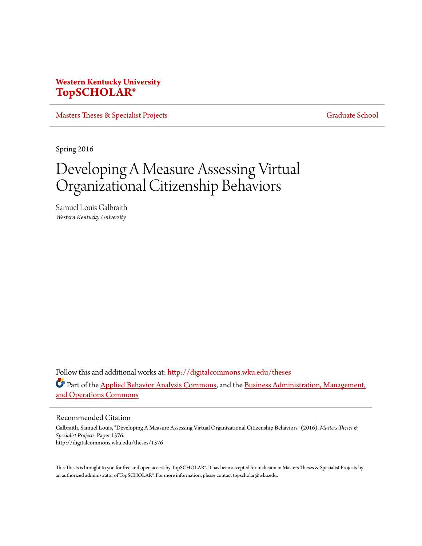# **Western Kentucky University [TopSCHOLAR®](http://digitalcommons.wku.edu?utm_source=digitalcommons.wku.edu%2Ftheses%2F1576&utm_medium=PDF&utm_campaign=PDFCoverPages)**

[Masters Theses & Specialist Projects](http://digitalcommons.wku.edu/theses?utm_source=digitalcommons.wku.edu%2Ftheses%2F1576&utm_medium=PDF&utm_campaign=PDFCoverPages) [Graduate School](http://digitalcommons.wku.edu/Graduate?utm_source=digitalcommons.wku.edu%2Ftheses%2F1576&utm_medium=PDF&utm_campaign=PDFCoverPages) Graduate School

Spring 2016

# Developing A Measure Assessing Virtual Organizational Citizenship Behaviors

Samuel Louis Galbraith *Western Kentucky University*

Follow this and additional works at: [http://digitalcommons.wku.edu/theses](http://digitalcommons.wku.edu/theses?utm_source=digitalcommons.wku.edu%2Ftheses%2F1576&utm_medium=PDF&utm_campaign=PDFCoverPages) Part of the [Applied Behavior Analysis Commons](http://network.bepress.com/hgg/discipline/1235?utm_source=digitalcommons.wku.edu%2Ftheses%2F1576&utm_medium=PDF&utm_campaign=PDFCoverPages), and the [Business Administration, Management,](http://network.bepress.com/hgg/discipline/623?utm_source=digitalcommons.wku.edu%2Ftheses%2F1576&utm_medium=PDF&utm_campaign=PDFCoverPages) [and Operations Commons](http://network.bepress.com/hgg/discipline/623?utm_source=digitalcommons.wku.edu%2Ftheses%2F1576&utm_medium=PDF&utm_campaign=PDFCoverPages)

Recommended Citation

Galbraith, Samuel Louis, "Developing A Measure Assessing Virtual Organizational Citizenship Behaviors" (2016). *Masters Theses & Specialist Projects.* Paper 1576. http://digitalcommons.wku.edu/theses/1576

This Thesis is brought to you for free and open access by TopSCHOLAR®. It has been accepted for inclusion in Masters Theses & Specialist Projects by an authorized administrator of TopSCHOLAR®. For more information, please contact topscholar@wku.edu.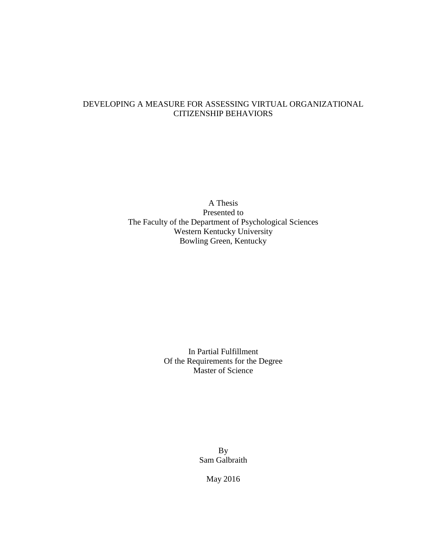# DEVELOPING A MEASURE FOR ASSESSING VIRTUAL ORGANIZATIONAL CITIZENSHIP BEHAVIORS

A Thesis Presented to The Faculty of the Department of Psychological Sciences Western Kentucky University Bowling Green, Kentucky

> In Partial Fulfillment Of the Requirements for the Degree Master of Science

> > By Sam Galbraith

> > > May 2016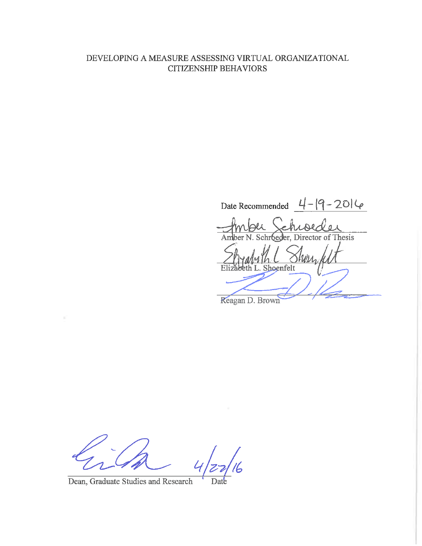# DEVELOPING A MEASURE ASSESSING VIRTUAL ORGANIZATIONAL **CITIZENSHIP BEHAVIORS**

Date Recommended  $4-|9-20|\varphi|$ Thesis ler. Director of er Shoenfelt

Reagan D. Brown

Date

Dean, Graduate Studies and Research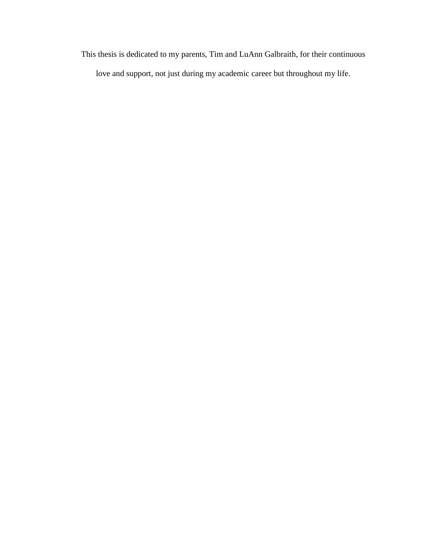This thesis is dedicated to my parents, Tim and LuAnn Galbraith, for their continuous love and support, not just during my academic career but throughout my life.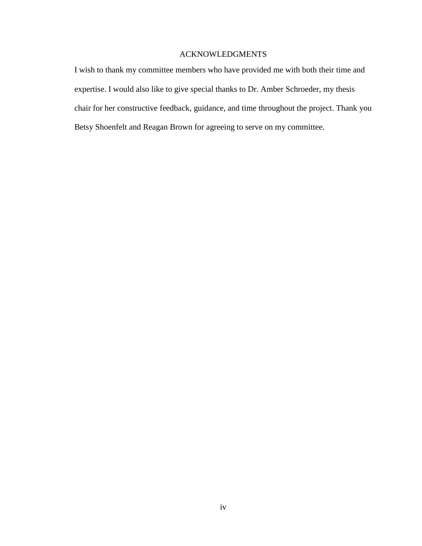#### ACKNOWLEDGMENTS

I wish to thank my committee members who have provided me with both their time and expertise. I would also like to give special thanks to Dr. Amber Schroeder, my thesis chair for her constructive feedback, guidance, and time throughout the project. Thank you Betsy Shoenfelt and Reagan Brown for agreeing to serve on my committee.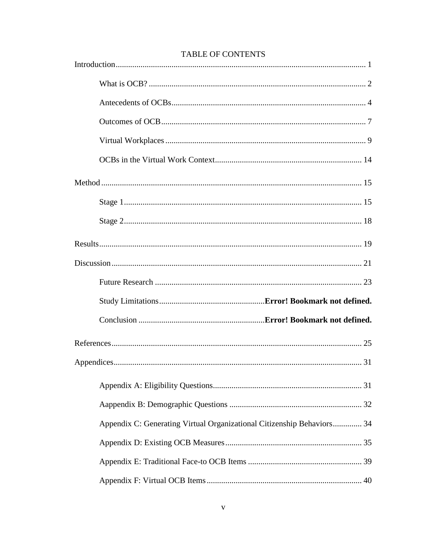| Appendix C: Generating Virtual Organizational Citizenship Behaviors 34 |  |
|------------------------------------------------------------------------|--|
|                                                                        |  |
|                                                                        |  |
|                                                                        |  |

# **TABLE OF CONTENTS**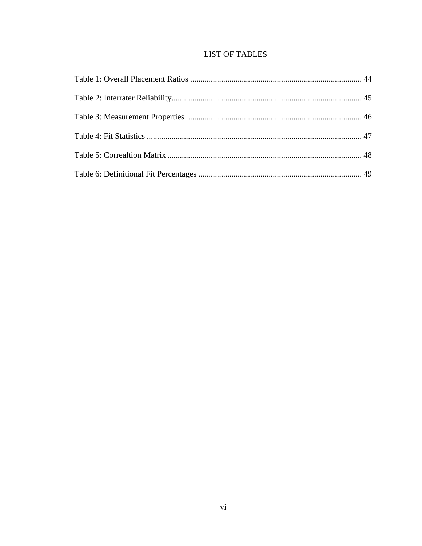# **LIST OF TABLES**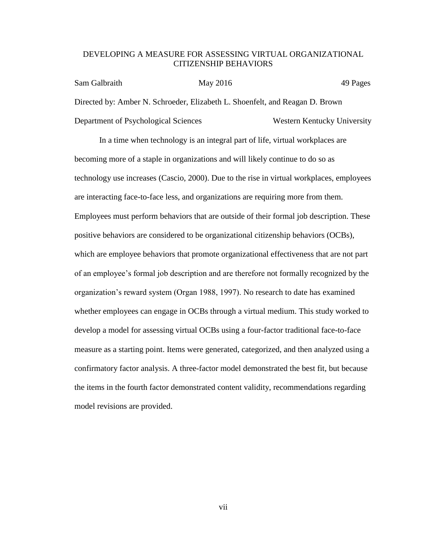#### DEVELOPING A MEASURE FOR ASSESSING VIRTUAL ORGANIZATIONAL CITIZENSHIP BEHAVIORS

| Sam Galbraith                        | May 2016 | 49 Pages                                                                     |
|--------------------------------------|----------|------------------------------------------------------------------------------|
|                                      |          | Directed by: Amber N. Schroeder, Elizabeth L. Shoenfelt, and Reagan D. Brown |
| Department of Psychological Sciences |          | Western Kentucky University                                                  |

In a time when technology is an integral part of life, virtual workplaces are becoming more of a staple in organizations and will likely continue to do so as technology use increases (Cascio, 2000). Due to the rise in virtual workplaces, employees are interacting face-to-face less, and organizations are requiring more from them. Employees must perform behaviors that are outside of their formal job description. These positive behaviors are considered to be organizational citizenship behaviors (OCBs), which are employee behaviors that promote organizational effectiveness that are not part of an employee's formal job description and are therefore not formally recognized by the organization's reward system (Organ 1988, 1997). No research to date has examined whether employees can engage in OCBs through a virtual medium. This study worked to develop a model for assessing virtual OCBs using a four-factor traditional face-to-face measure as a starting point. Items were generated, categorized, and then analyzed using a confirmatory factor analysis. A three-factor model demonstrated the best fit, but because the items in the fourth factor demonstrated content validity, recommendations regarding model revisions are provided.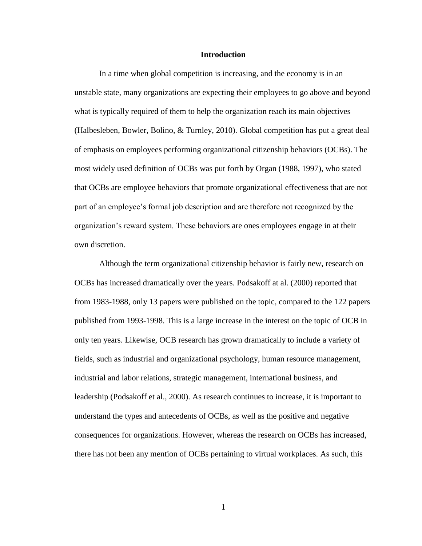#### **Introduction**

In a time when global competition is increasing, and the economy is in an unstable state, many organizations are expecting their employees to go above and beyond what is typically required of them to help the organization reach its main objectives (Halbesleben, Bowler, Bolino, & Turnley, 2010). Global competition has put a great deal of emphasis on employees performing organizational citizenship behaviors (OCBs). The most widely used definition of OCBs was put forth by Organ (1988, 1997), who stated that OCBs are employee behaviors that promote organizational effectiveness that are not part of an employee's formal job description and are therefore not recognized by the organization's reward system. These behaviors are ones employees engage in at their own discretion.

Although the term organizational citizenship behavior is fairly new, research on OCBs has increased dramatically over the years. Podsakoff at al. (2000) reported that from 1983-1988, only 13 papers were published on the topic, compared to the 122 papers published from 1993-1998. This is a large increase in the interest on the topic of OCB in only ten years. Likewise, OCB research has grown dramatically to include a variety of fields, such as industrial and organizational psychology, human resource management, industrial and labor relations, strategic management, international business, and leadership (Podsakoff et al., 2000). As research continues to increase, it is important to understand the types and antecedents of OCBs, as well as the positive and negative consequences for organizations. However, whereas the research on OCBs has increased, there has not been any mention of OCBs pertaining to virtual workplaces. As such, this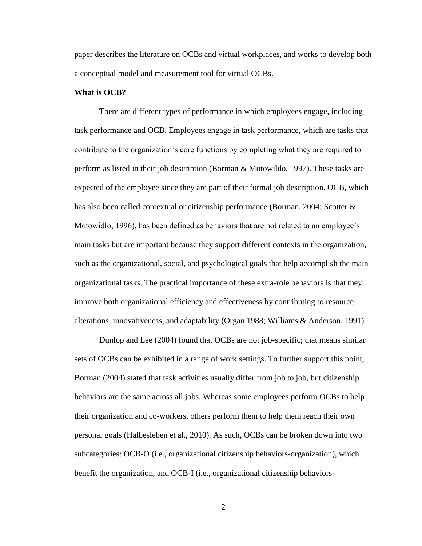paper describes the literature on OCBs and virtual workplaces, and works to develop both a conceptual model and measurement tool for virtual OCBs.

#### **What is OCB?**

There are different types of performance in which employees engage, including task performance and OCB. Employees engage in task performance, which are tasks that contribute to the organization's core functions by completing what they are required to perform as listed in their job description (Borman & Motowildo, 1997). These tasks are expected of the employee since they are part of their formal job description. OCB, which has also been called contextual or citizenship performance (Borman, 2004; Scotter & Motowidlo, 1996), has been defined as behaviors that are not related to an employee's main tasks but are important because they support different contexts in the organization, such as the organizational, social, and psychological goals that help accomplish the main organizational tasks. The practical importance of these extra-role behaviors is that they improve both organizational efficiency and effectiveness by contributing to resource alterations, innovativeness, and adaptability (Organ 1988; Williams & Anderson, 1991).

Dunlop and Lee (2004) found that OCBs are not job-specific; that means similar sets of OCBs can be exhibited in a range of work settings. To further support this point, Borman (2004) stated that task activities usually differ from job to job, but citizenship behaviors are the same across all jobs. Whereas some employees perform OCBs to help their organization and co-workers, others perform them to help them reach their own personal goals (Halbesleben et al., 2010). As such, OCBs can be broken down into two subcategories: OCB-O (i.e., organizational citizenship behaviors-organization), which benefit the organization, and OCB-I (i.e., organizational citizenship behaviors-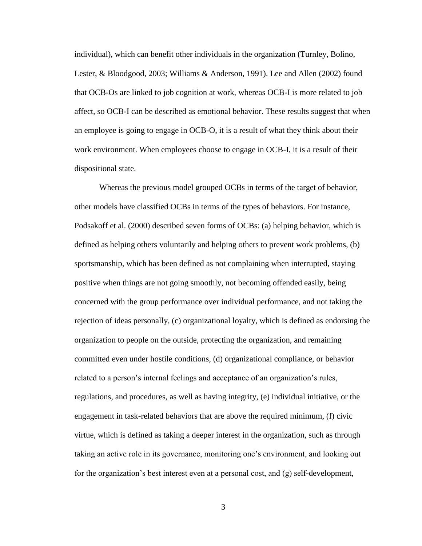individual), which can benefit other individuals in the organization (Turnley, Bolino, Lester, & Bloodgood, 2003; Williams & Anderson, 1991). Lee and Allen (2002) found that OCB-Os are linked to job cognition at work, whereas OCB-I is more related to job affect, so OCB-I can be described as emotional behavior. These results suggest that when an employee is going to engage in OCB-O, it is a result of what they think about their work environment. When employees choose to engage in OCB-I, it is a result of their dispositional state.

Whereas the previous model grouped OCBs in terms of the target of behavior, other models have classified OCBs in terms of the types of behaviors. For instance, Podsakoff et al. (2000) described seven forms of OCBs: (a) helping behavior, which is defined as helping others voluntarily and helping others to prevent work problems, (b) sportsmanship, which has been defined as not complaining when interrupted, staying positive when things are not going smoothly, not becoming offended easily, being concerned with the group performance over individual performance, and not taking the rejection of ideas personally, (c) organizational loyalty, which is defined as endorsing the organization to people on the outside, protecting the organization, and remaining committed even under hostile conditions, (d) organizational compliance, or behavior related to a person's internal feelings and acceptance of an organization's rules, regulations, and procedures, as well as having integrity, (e) individual initiative, or the engagement in task-related behaviors that are above the required minimum, (f) civic virtue, which is defined as taking a deeper interest in the organization, such as through taking an active role in its governance, monitoring one's environment, and looking out for the organization's best interest even at a personal cost, and (g) self-development,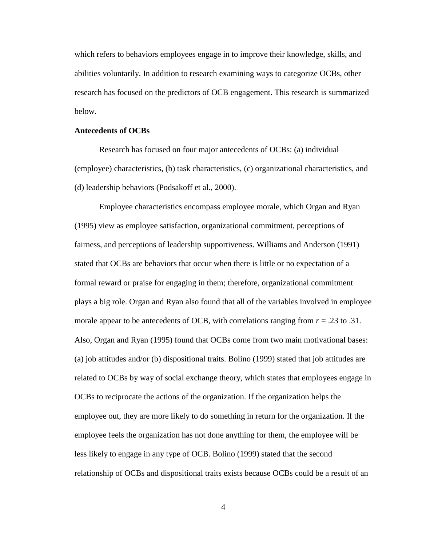which refers to behaviors employees engage in to improve their knowledge, skills, and abilities voluntarily. In addition to research examining ways to categorize OCBs, other research has focused on the predictors of OCB engagement. This research is summarized below.

#### **Antecedents of OCBs**

Research has focused on four major antecedents of OCBs: (a) individual (employee) characteristics, (b) task characteristics, (c) organizational characteristics, and (d) leadership behaviors (Podsakoff et al., 2000).

Employee characteristics encompass employee morale, which Organ and Ryan (1995) view as employee satisfaction, organizational commitment, perceptions of fairness, and perceptions of leadership supportiveness. Williams and Anderson (1991) stated that OCBs are behaviors that occur when there is little or no expectation of a formal reward or praise for engaging in them; therefore, organizational commitment plays a big role. Organ and Ryan also found that all of the variables involved in employee morale appear to be antecedents of OCB, with correlations ranging from  $r = .23$  to .31. Also, Organ and Ryan (1995) found that OCBs come from two main motivational bases: (a) job attitudes and/or (b) dispositional traits. Bolino (1999) stated that job attitudes are related to OCBs by way of social exchange theory, which states that employees engage in OCBs to reciprocate the actions of the organization. If the organization helps the employee out, they are more likely to do something in return for the organization. If the employee feels the organization has not done anything for them, the employee will be less likely to engage in any type of OCB. Bolino (1999) stated that the second relationship of OCBs and dispositional traits exists because OCBs could be a result of an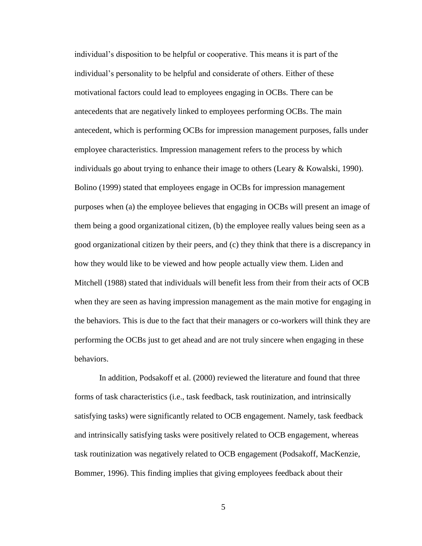individual's disposition to be helpful or cooperative. This means it is part of the individual's personality to be helpful and considerate of others. Either of these motivational factors could lead to employees engaging in OCBs. There can be antecedents that are negatively linked to employees performing OCBs. The main antecedent, which is performing OCBs for impression management purposes, falls under employee characteristics. Impression management refers to the process by which individuals go about trying to enhance their image to others (Leary  $&$  Kowalski, 1990). Bolino (1999) stated that employees engage in OCBs for impression management purposes when (a) the employee believes that engaging in OCBs will present an image of them being a good organizational citizen, (b) the employee really values being seen as a good organizational citizen by their peers, and (c) they think that there is a discrepancy in how they would like to be viewed and how people actually view them. Liden and Mitchell (1988) stated that individuals will benefit less from their from their acts of OCB when they are seen as having impression management as the main motive for engaging in the behaviors. This is due to the fact that their managers or co-workers will think they are performing the OCBs just to get ahead and are not truly sincere when engaging in these behaviors.

In addition, Podsakoff et al. (2000) reviewed the literature and found that three forms of task characteristics (i.e., task feedback, task routinization, and intrinsically satisfying tasks) were significantly related to OCB engagement. Namely, task feedback and intrinsically satisfying tasks were positively related to OCB engagement, whereas task routinization was negatively related to OCB engagement (Podsakoff, MacKenzie, Bommer, 1996). This finding implies that giving employees feedback about their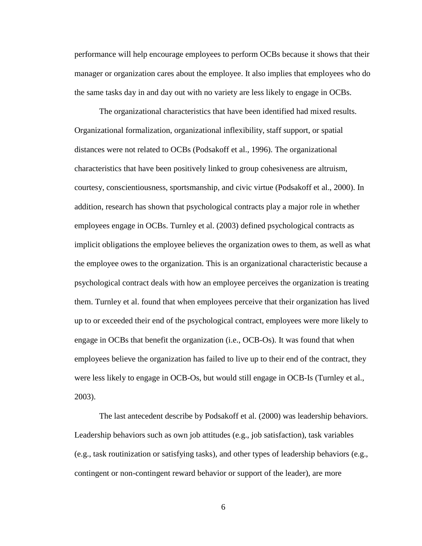performance will help encourage employees to perform OCBs because it shows that their manager or organization cares about the employee. It also implies that employees who do the same tasks day in and day out with no variety are less likely to engage in OCBs.

The organizational characteristics that have been identified had mixed results. Organizational formalization, organizational inflexibility, staff support, or spatial distances were not related to OCBs (Podsakoff et al., 1996). The organizational characteristics that have been positively linked to group cohesiveness are altruism, courtesy, conscientiousness, sportsmanship, and civic virtue (Podsakoff et al., 2000). In addition, research has shown that psychological contracts play a major role in whether employees engage in OCBs. Turnley et al. (2003) defined psychological contracts as implicit obligations the employee believes the organization owes to them, as well as what the employee owes to the organization. This is an organizational characteristic because a psychological contract deals with how an employee perceives the organization is treating them. Turnley et al. found that when employees perceive that their organization has lived up to or exceeded their end of the psychological contract, employees were more likely to engage in OCBs that benefit the organization (i.e., OCB-Os). It was found that when employees believe the organization has failed to live up to their end of the contract, they were less likely to engage in OCB-Os, but would still engage in OCB-Is (Turnley et al., 2003).

The last antecedent describe by Podsakoff et al. (2000) was leadership behaviors. Leadership behaviors such as own job attitudes (e.g., job satisfaction), task variables (e.g., task routinization or satisfying tasks), and other types of leadership behaviors (e.g., contingent or non-contingent reward behavior or support of the leader), are more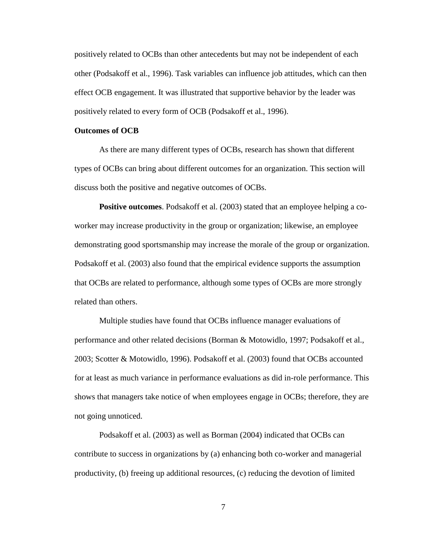positively related to OCBs than other antecedents but may not be independent of each other (Podsakoff et al., 1996). Task variables can influence job attitudes, which can then effect OCB engagement. It was illustrated that supportive behavior by the leader was positively related to every form of OCB (Podsakoff et al., 1996).

#### **Outcomes of OCB**

As there are many different types of OCBs, research has shown that different types of OCBs can bring about different outcomes for an organization. This section will discuss both the positive and negative outcomes of OCBs.

**Positive outcomes**. Podsakoff et al. (2003) stated that an employee helping a coworker may increase productivity in the group or organization; likewise, an employee demonstrating good sportsmanship may increase the morale of the group or organization. Podsakoff et al. (2003) also found that the empirical evidence supports the assumption that OCBs are related to performance, although some types of OCBs are more strongly related than others.

Multiple studies have found that OCBs influence manager evaluations of performance and other related decisions (Borman & Motowidlo, 1997; Podsakoff et al., 2003; Scotter & Motowidlo, 1996). Podsakoff et al. (2003) found that OCBs accounted for at least as much variance in performance evaluations as did in-role performance. This shows that managers take notice of when employees engage in OCBs; therefore, they are not going unnoticed.

Podsakoff et al. (2003) as well as Borman (2004) indicated that OCBs can contribute to success in organizations by (a) enhancing both co-worker and managerial productivity, (b) freeing up additional resources, (c) reducing the devotion of limited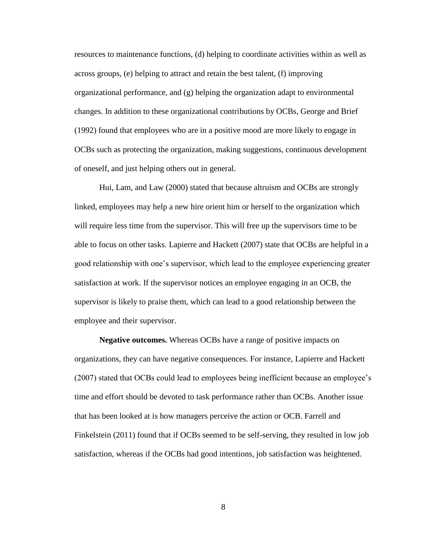resources to maintenance functions, (d) helping to coordinate activities within as well as across groups, (e) helping to attract and retain the best talent, (f) improving organizational performance, and (g) helping the organization adapt to environmental changes. In addition to these organizational contributions by OCBs, George and Brief (1992) found that employees who are in a positive mood are more likely to engage in OCBs such as protecting the organization, making suggestions, continuous development of oneself, and just helping others out in general.

Hui, Lam, and Law (2000) stated that because altruism and OCBs are strongly linked, employees may help a new hire orient him or herself to the organization which will require less time from the supervisor. This will free up the supervisors time to be able to focus on other tasks. Lapierre and Hackett (2007) state that OCBs are helpful in a good relationship with one's supervisor, which lead to the employee experiencing greater satisfaction at work. If the supervisor notices an employee engaging in an OCB, the supervisor is likely to praise them, which can lead to a good relationship between the employee and their supervisor.

**Negative outcomes.** Whereas OCBs have a range of positive impacts on organizations, they can have negative consequences. For instance, Lapierre and Hackett (2007) stated that OCBs could lead to employees being inefficient because an employee's time and effort should be devoted to task performance rather than OCBs. Another issue that has been looked at is how managers perceive the action or OCB. Farrell and Finkelstein (2011) found that if OCBs seemed to be self-serving, they resulted in low job satisfaction, whereas if the OCBs had good intentions, job satisfaction was heightened.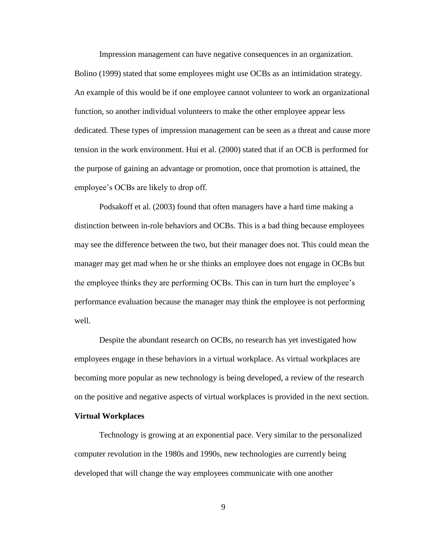Impression management can have negative consequences in an organization. Bolino (1999) stated that some employees might use OCBs as an intimidation strategy. An example of this would be if one employee cannot volunteer to work an organizational function, so another individual volunteers to make the other employee appear less dedicated. These types of impression management can be seen as a threat and cause more tension in the work environment. Hui et al. (2000) stated that if an OCB is performed for the purpose of gaining an advantage or promotion, once that promotion is attained, the employee's OCBs are likely to drop off.

Podsakoff et al. (2003) found that often managers have a hard time making a distinction between in-role behaviors and OCBs. This is a bad thing because employees may see the difference between the two, but their manager does not. This could mean the manager may get mad when he or she thinks an employee does not engage in OCBs but the employee thinks they are performing OCBs. This can in turn hurt the employee's performance evaluation because the manager may think the employee is not performing well.

Despite the abundant research on OCBs, no research has yet investigated how employees engage in these behaviors in a virtual workplace. As virtual workplaces are becoming more popular as new technology is being developed, a review of the research on the positive and negative aspects of virtual workplaces is provided in the next section.

#### **Virtual Workplaces**

Technology is growing at an exponential pace. Very similar to the personalized computer revolution in the 1980s and 1990s, new technologies are currently being developed that will change the way employees communicate with one another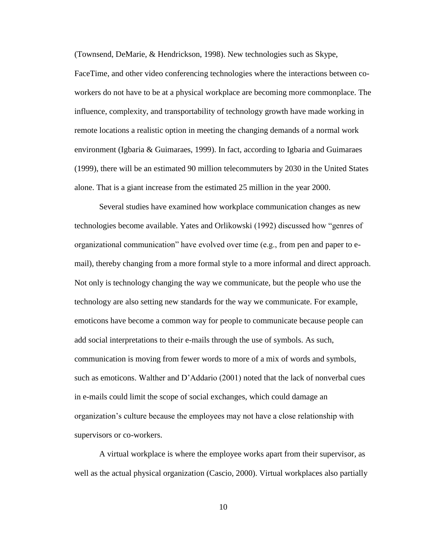(Townsend, DeMarie, & Hendrickson, 1998). New technologies such as Skype,

FaceTime, and other video conferencing technologies where the interactions between coworkers do not have to be at a physical workplace are becoming more commonplace. The influence, complexity, and transportability of technology growth have made working in remote locations a realistic option in meeting the changing demands of a normal work environment (Igbaria & Guimaraes, 1999). In fact, according to Igbaria and Guimaraes (1999), there will be an estimated 90 million telecommuters by 2030 in the United States alone. That is a giant increase from the estimated 25 million in the year 2000.

Several studies have examined how workplace communication changes as new technologies become available. Yates and Orlikowski (1992) discussed how "genres of organizational communication" have evolved over time (e.g., from pen and paper to email), thereby changing from a more formal style to a more informal and direct approach. Not only is technology changing the way we communicate, but the people who use the technology are also setting new standards for the way we communicate. For example, emoticons have become a common way for people to communicate because people can add social interpretations to their e-mails through the use of symbols. As such, communication is moving from fewer words to more of a mix of words and symbols, such as emoticons. Walther and  $D'$ Addario (2001) noted that the lack of nonverbal cues in e-mails could limit the scope of social exchanges, which could damage an organization's culture because the employees may not have a close relationship with supervisors or co-workers.

A virtual workplace is where the employee works apart from their supervisor, as well as the actual physical organization (Cascio, 2000). Virtual workplaces also partially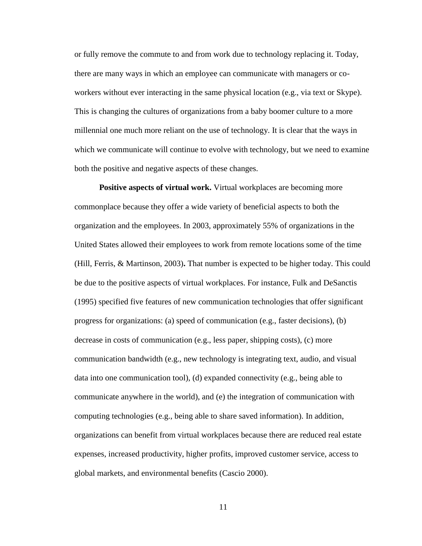or fully remove the commute to and from work due to technology replacing it. Today, there are many ways in which an employee can communicate with managers or coworkers without ever interacting in the same physical location (e.g., via text or Skype). This is changing the cultures of organizations from a baby boomer culture to a more millennial one much more reliant on the use of technology. It is clear that the ways in which we communicate will continue to evolve with technology, but we need to examine both the positive and negative aspects of these changes.

**Positive aspects of virtual work.** Virtual workplaces are becoming more commonplace because they offer a wide variety of beneficial aspects to both the organization and the employees. In 2003, approximately 55% of organizations in the United States allowed their employees to work from remote locations some of the time (Hill, Ferris, & Martinson, 2003)**.** That number is expected to be higher today. This could be due to the positive aspects of virtual workplaces. For instance, Fulk and DeSanctis (1995) specified five features of new communication technologies that offer significant progress for organizations: (a) speed of communication (e.g., faster decisions), (b) decrease in costs of communication (e.g., less paper, shipping costs), (c) more communication bandwidth (e.g., new technology is integrating text, audio, and visual data into one communication tool), (d) expanded connectivity (e.g., being able to communicate anywhere in the world), and (e) the integration of communication with computing technologies (e.g., being able to share saved information). In addition, organizations can benefit from virtual workplaces because there are reduced real estate expenses, increased productivity, higher profits, improved customer service, access to global markets, and environmental benefits (Cascio 2000).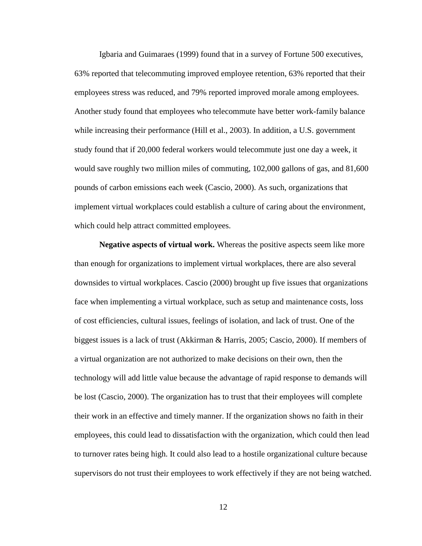Igbaria and Guimaraes (1999) found that in a survey of Fortune 500 executives, 63% reported that telecommuting improved employee retention, 63% reported that their employees stress was reduced, and 79% reported improved morale among employees. Another study found that employees who telecommute have better work-family balance while increasing their performance (Hill et al., 2003). In addition, a U.S. government study found that if 20,000 federal workers would telecommute just one day a week, it would save roughly two million miles of commuting, 102,000 gallons of gas, and 81,600 pounds of carbon emissions each week (Cascio, 2000). As such, organizations that implement virtual workplaces could establish a culture of caring about the environment, which could help attract committed employees.

**Negative aspects of virtual work.** Whereas the positive aspects seem like more than enough for organizations to implement virtual workplaces, there are also several downsides to virtual workplaces. Cascio (2000) brought up five issues that organizations face when implementing a virtual workplace, such as setup and maintenance costs, loss of cost efficiencies, cultural issues, feelings of isolation, and lack of trust. One of the biggest issues is a lack of trust (Akkirman & Harris, 2005; Cascio, 2000). If members of a virtual organization are not authorized to make decisions on their own, then the technology will add little value because the advantage of rapid response to demands will be lost (Cascio, 2000). The organization has to trust that their employees will complete their work in an effective and timely manner. If the organization shows no faith in their employees, this could lead to dissatisfaction with the organization, which could then lead to turnover rates being high. It could also lead to a hostile organizational culture because supervisors do not trust their employees to work effectively if they are not being watched.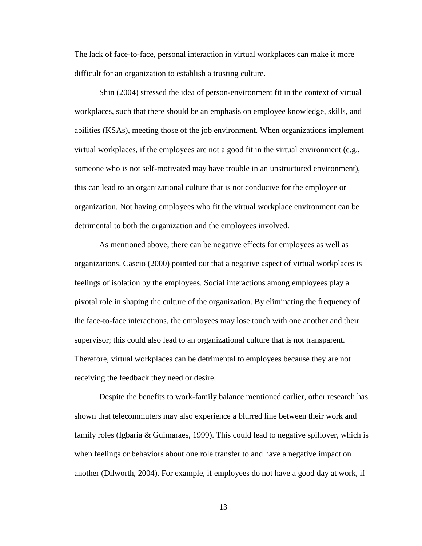The lack of face-to-face, personal interaction in virtual workplaces can make it more difficult for an organization to establish a trusting culture.

Shin (2004) stressed the idea of person-environment fit in the context of virtual workplaces, such that there should be an emphasis on employee knowledge, skills, and abilities (KSAs), meeting those of the job environment. When organizations implement virtual workplaces, if the employees are not a good fit in the virtual environment (e.g., someone who is not self-motivated may have trouble in an unstructured environment), this can lead to an organizational culture that is not conducive for the employee or organization. Not having employees who fit the virtual workplace environment can be detrimental to both the organization and the employees involved.

As mentioned above, there can be negative effects for employees as well as organizations. Cascio (2000) pointed out that a negative aspect of virtual workplaces is feelings of isolation by the employees. Social interactions among employees play a pivotal role in shaping the culture of the organization. By eliminating the frequency of the face-to-face interactions, the employees may lose touch with one another and their supervisor; this could also lead to an organizational culture that is not transparent. Therefore, virtual workplaces can be detrimental to employees because they are not receiving the feedback they need or desire.

Despite the benefits to work-family balance mentioned earlier, other research has shown that telecommuters may also experience a blurred line between their work and family roles (Igbaria & Guimaraes, 1999). This could lead to negative spillover, which is when feelings or behaviors about one role transfer to and have a negative impact on another (Dilworth, 2004). For example, if employees do not have a good day at work, if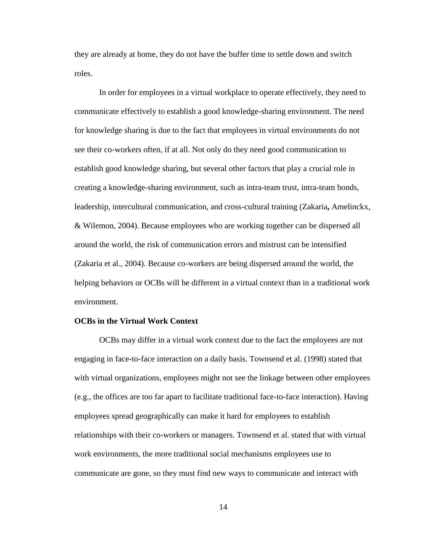they are already at home, they do not have the buffer time to settle down and switch roles.

In order for employees in a virtual workplace to operate effectively, they need to communicate effectively to establish a good knowledge-sharing environment. The need for knowledge sharing is due to the fact that employees in virtual environments do not see their co-workers often, if at all. Not only do they need good communication to establish good knowledge sharing, but several other factors that play a crucial role in creating a knowledge-sharing environment, such as intra-team trust, intra-team bonds, leadership, intercultural communication, and cross-cultural training (Zakaria**,** Amelinckx, & Wilemon, 2004). Because employees who are working together can be dispersed all around the world, the risk of communication errors and mistrust can be intensified (Zakaria et al., 2004). Because co-workers are being dispersed around the world, the helping behaviors or OCBs will be different in a virtual context than in a traditional work environment.

#### **OCBs in the Virtual Work Context**

OCBs may differ in a virtual work context due to the fact the employees are not engaging in face-to-face interaction on a daily basis. Townsend et al. (1998) stated that with virtual organizations, employees might not see the linkage between other employees (e.g., the offices are too far apart to facilitate traditional face-to-face interaction). Having employees spread geographically can make it hard for employees to establish relationships with their co-workers or managers. Townsend et al. stated that with virtual work environments, the more traditional social mechanisms employees use to communicate are gone, so they must find new ways to communicate and interact with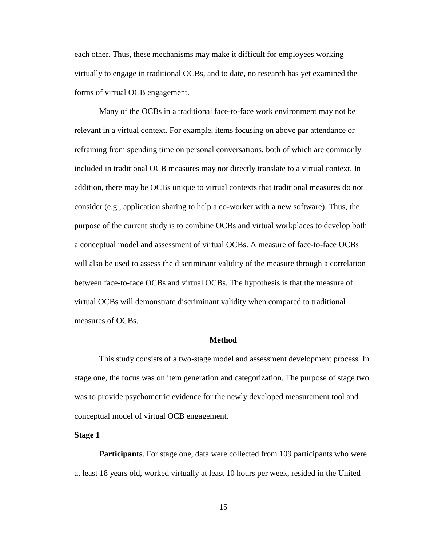each other. Thus, these mechanisms may make it difficult for employees working virtually to engage in traditional OCBs, and to date, no research has yet examined the forms of virtual OCB engagement.

Many of the OCBs in a traditional face-to-face work environment may not be relevant in a virtual context. For example, items focusing on above par attendance or refraining from spending time on personal conversations, both of which are commonly included in traditional OCB measures may not directly translate to a virtual context. In addition, there may be OCBs unique to virtual contexts that traditional measures do not consider (e.g., application sharing to help a co-worker with a new software). Thus, the purpose of the current study is to combine OCBs and virtual workplaces to develop both a conceptual model and assessment of virtual OCBs. A measure of face-to-face OCBs will also be used to assess the discriminant validity of the measure through a correlation between face-to-face OCBs and virtual OCBs. The hypothesis is that the measure of virtual OCBs will demonstrate discriminant validity when compared to traditional measures of OCBs.

#### **Method**

This study consists of a two-stage model and assessment development process. In stage one, the focus was on item generation and categorization. The purpose of stage two was to provide psychometric evidence for the newly developed measurement tool and conceptual model of virtual OCB engagement.

**Stage 1**

**Participants**. For stage one, data were collected from 109 participants who were at least 18 years old, worked virtually at least 10 hours per week, resided in the United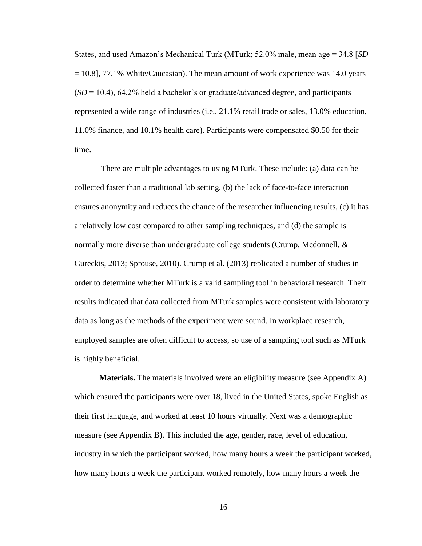States, and used Amazon's Mechanical Turk (MTurk; 52.0% male, mean age = 34.8 [*SD*  $= 10.8$ ], 77.1% White/Caucasian). The mean amount of work experience was 14.0 years  $(SD = 10.4)$ , 64.2% held a bachelor's or graduate/advanced degree, and participants represented a wide range of industries (i.e., 21.1% retail trade or sales, 13.0% education, 11.0% finance, and 10.1% health care). Participants were compensated \$0.50 for their time.

There are multiple advantages to using MTurk. These include: (a) data can be collected faster than a traditional lab setting, (b) the lack of face-to-face interaction ensures anonymity and reduces the chance of the researcher influencing results, (c) it has a relatively low cost compared to other sampling techniques, and (d) the sample is normally more diverse than undergraduate college students (Crump, Mcdonnell, & Gureckis, 2013; Sprouse, 2010). Crump et al. (2013) replicated a number of studies in order to determine whether MTurk is a valid sampling tool in behavioral research. Their results indicated that data collected from MTurk samples were consistent with laboratory data as long as the methods of the experiment were sound. In workplace research, employed samples are often difficult to access, so use of a sampling tool such as MTurk is highly beneficial.

**Materials.** The materials involved were an eligibility measure (see Appendix A) which ensured the participants were over 18, lived in the United States, spoke English as their first language, and worked at least 10 hours virtually. Next was a demographic measure (see Appendix B). This included the age, gender, race, level of education, industry in which the participant worked, how many hours a week the participant worked, how many hours a week the participant worked remotely, how many hours a week the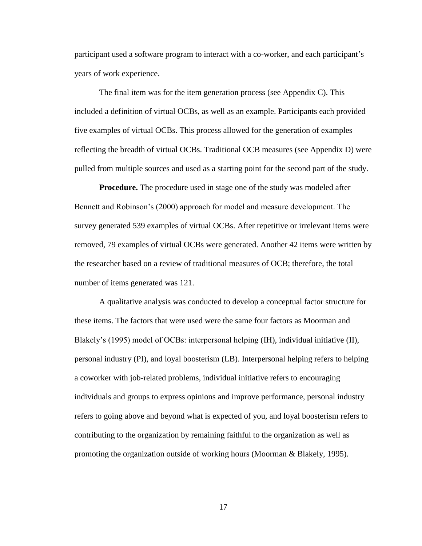participant used a software program to interact with a co-worker, and each participant's years of work experience.

The final item was for the item generation process (see Appendix C). This included a definition of virtual OCBs, as well as an example. Participants each provided five examples of virtual OCBs. This process allowed for the generation of examples reflecting the breadth of virtual OCBs. Traditional OCB measures (see Appendix D) were pulled from multiple sources and used as a starting point for the second part of the study.

**Procedure.** The procedure used in stage one of the study was modeled after Bennett and Robinson's (2000) approach for model and measure development. The survey generated 539 examples of virtual OCBs. After repetitive or irrelevant items were removed, 79 examples of virtual OCBs were generated. Another 42 items were written by the researcher based on a review of traditional measures of OCB; therefore, the total number of items generated was 121.

A qualitative analysis was conducted to develop a conceptual factor structure for these items. The factors that were used were the same four factors as Moorman and Blakely's (1995) model of OCBs: interpersonal helping (IH), individual initiative (II), personal industry (PI), and loyal boosterism (LB). Interpersonal helping refers to helping a coworker with job-related problems, individual initiative refers to encouraging individuals and groups to express opinions and improve performance, personal industry refers to going above and beyond what is expected of you, and loyal boosterism refers to contributing to the organization by remaining faithful to the organization as well as promoting the organization outside of working hours (Moorman & Blakely, 1995).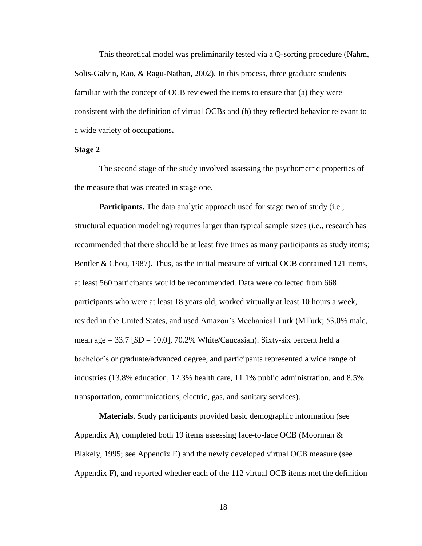This theoretical model was preliminarily tested via a Q-sorting procedure (Nahm, Solis-Galvin, Rao, & Ragu-Nathan, 2002). In this process, three graduate students familiar with the concept of OCB reviewed the items to ensure that (a) they were consistent with the definition of virtual OCBs and (b) they reflected behavior relevant to a wide variety of occupations**.** 

#### **Stage 2**

The second stage of the study involved assessing the psychometric properties of the measure that was created in stage one.

Participants. The data analytic approach used for stage two of study (i.e., structural equation modeling) requires larger than typical sample sizes (i.e., research has recommended that there should be at least five times as many participants as study items; Bentler & Chou, 1987). Thus, as the initial measure of virtual OCB contained 121 items, at least 560 participants would be recommended. Data were collected from 668 participants who were at least 18 years old, worked virtually at least 10 hours a week, resided in the United States, and used Amazon's Mechanical Turk (MTurk; 53.0% male, mean age  $= 33.7$  [*SD*  $= 10.0$ ], 70.2% White/Caucasian). Sixty-six percent held a bachelor's or graduate/advanced degree, and participants represented a wide range of industries (13.8% education, 12.3% health care, 11.1% public administration, and 8.5% transportation, communications, electric, gas, and sanitary services).

**Materials.** Study participants provided basic demographic information (see Appendix A), completed both 19 items assessing face-to-face OCB (Moorman  $\&$ Blakely, 1995; see Appendix E) and the newly developed virtual OCB measure (see Appendix F), and reported whether each of the 112 virtual OCB items met the definition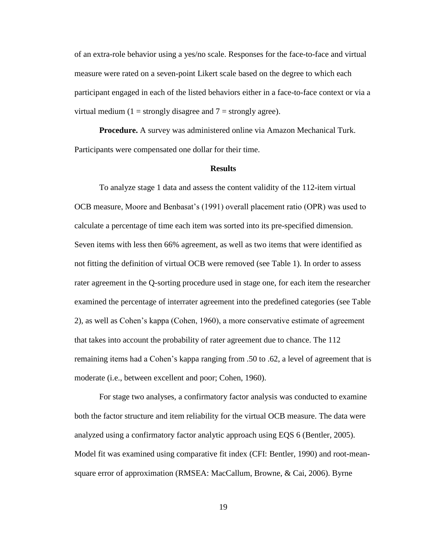of an extra-role behavior using a yes/no scale. Responses for the face-to-face and virtual measure were rated on a seven-point Likert scale based on the degree to which each participant engaged in each of the listed behaviors either in a face-to-face context or via a virtual medium (1 = strongly disagree and  $7$  = strongly agree).

**Procedure.** A survey was administered online via Amazon Mechanical Turk. Participants were compensated one dollar for their time.

#### **Results**

To analyze stage 1 data and assess the content validity of the 112-item virtual OCB measure, Moore and Benbasat's (1991) overall placement ratio (OPR) was used to calculate a percentage of time each item was sorted into its pre-specified dimension. Seven items with less then 66% agreement, as well as two items that were identified as not fitting the definition of virtual OCB were removed (see Table 1). In order to assess rater agreement in the Q-sorting procedure used in stage one, for each item the researcher examined the percentage of interrater agreement into the predefined categories (see Table 2), as well as Cohen's kappa (Cohen, 1960), a more conservative estimate of agreement that takes into account the probability of rater agreement due to chance. The 112 remaining items had a Cohen's kappa ranging from .50 to .62, a level of agreement that is moderate (i.e., between excellent and poor; Cohen, 1960).

For stage two analyses, a confirmatory factor analysis was conducted to examine both the factor structure and item reliability for the virtual OCB measure. The data were analyzed using a confirmatory factor analytic approach using EQS 6 (Bentler, 2005). Model fit was examined using comparative fit index (CFI: Bentler, 1990) and root-meansquare error of approximation (RMSEA: MacCallum, Browne, & Cai, 2006). Byrne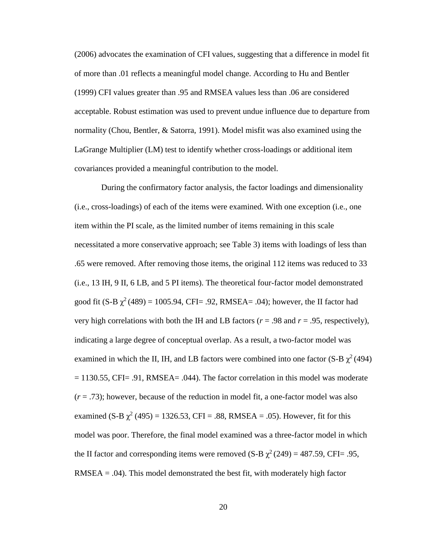(2006) advocates the examination of CFI values, suggesting that a difference in model fit of more than .01 reflects a meaningful model change. According to Hu and Bentler (1999) CFI values greater than .95 and RMSEA values less than .06 are considered acceptable. Robust estimation was used to prevent undue influence due to departure from normality (Chou, Bentler, & Satorra, 1991). Model misfit was also examined using the LaGrange Multiplier (LM) test to identify whether cross-loadings or additional item covariances provided a meaningful contribution to the model.

During the confirmatory factor analysis, the factor loadings and dimensionality (i.e., cross-loadings) of each of the items were examined. With one exception (i.e., one item within the PI scale, as the limited number of items remaining in this scale necessitated a more conservative approach; see Table 3) items with loadings of less than .65 were removed. After removing those items, the original 112 items was reduced to 33 (i.e., 13 IH, 9 II, 6 LB, and 5 PI items). The theoretical four-factor model demonstrated good fit (S-B  $\chi^2$  (489) = 1005.94, CFI= .92, RMSEA= .04); however, the II factor had very high correlations with both the IH and LB factors ( $r = .98$  and  $r = .95$ , respectively), indicating a large degree of conceptual overlap. As a result, a two-factor model was examined in which the II, IH, and LB factors were combined into one factor (S-B  $\chi^2$  (494)  $= 1130.55$ , CFI $= .91$ , RMSEA $= .044$ ). The factor correlation in this model was moderate (*r* = .73); however, because of the reduction in model fit, a one-factor model was also examined (S-B  $\chi^2$  (495) = 1326.53, CFI = .88, RMSEA = .05). However, fit for this model was poor. Therefore, the final model examined was a three-factor model in which the II factor and corresponding items were removed (S-B  $\chi^2$  (249) = 487.59, CFI= .95,  $RMSEA = .04$ . This model demonstrated the best fit, with moderately high factor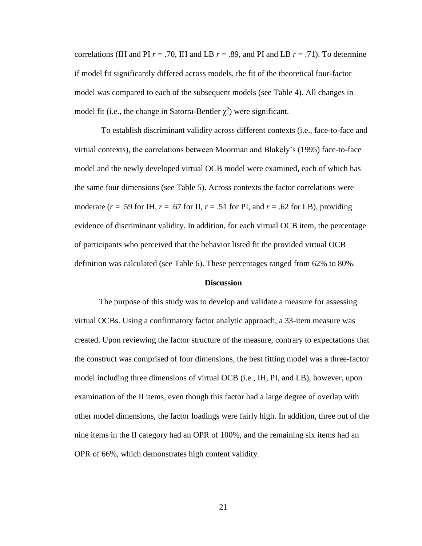correlations (IH and PI  $r = .70$ , IH and LB  $r = .89$ , and PI and LB  $r = .71$ ). To determine if model fit significantly differed across models, the fit of the theoretical four-factor model was compared to each of the subsequent models (see Table 4). All changes in model fit (i.e., the change in Satorra-Bentler  $\chi^2$ ) were significant.

To establish discriminant validity across different contexts (i.e., face-to-face and virtual contexts), the correlations between Moorman and Blakely's (1995) face-to-face model and the newly developed virtual OCB model were examined, each of which has the same four dimensions (see Table 5). Across contexts the factor correlations were moderate ( $r = .59$  for IH,  $r = .67$  for II,  $r = .51$  for PI, and  $r = .62$  for LB), providing evidence of discriminant validity. In addition, for each virtual OCB item, the percentage of participants who perceived that the behavior listed fit the provided virtual OCB definition was calculated (see Table 6). These percentages ranged from 62% to 80%.

#### **Discussion**

The purpose of this study was to develop and validate a measure for assessing virtual OCBs. Using a confirmatory factor analytic approach, a 33-item measure was created. Upon reviewing the factor structure of the measure, contrary to expectations that the construct was comprised of four dimensions, the best fitting model was a three-factor model including three dimensions of virtual OCB (i.e., IH, PI, and LB), however, upon examination of the II items, even though this factor had a large degree of overlap with other model dimensions, the factor loadings were fairly high. In addition, three out of the nine items in the II category had an OPR of 100%, and the remaining six items had an OPR of 66%, which demonstrates high content validity.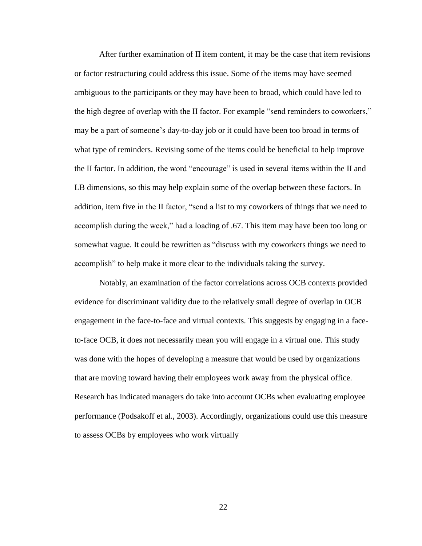After further examination of II item content, it may be the case that item revisions or factor restructuring could address this issue. Some of the items may have seemed ambiguous to the participants or they may have been to broad, which could have led to the high degree of overlap with the II factor. For example "send reminders to coworkers," may be a part of someone's day-to-day job or it could have been too broad in terms of what type of reminders. Revising some of the items could be beneficial to help improve the II factor. In addition, the word "encourage" is used in several items within the II and LB dimensions, so this may help explain some of the overlap between these factors. In addition, item five in the II factor, "send a list to my coworkers of things that we need to accomplish during the week," had a loading of .67. This item may have been too long or somewhat vague. It could be rewritten as "discuss with my coworkers things we need to accomplish" to help make it more clear to the individuals taking the survey.

Notably, an examination of the factor correlations across OCB contexts provided evidence for discriminant validity due to the relatively small degree of overlap in OCB engagement in the face-to-face and virtual contexts. This suggests by engaging in a faceto-face OCB, it does not necessarily mean you will engage in a virtual one. This study was done with the hopes of developing a measure that would be used by organizations that are moving toward having their employees work away from the physical office. Research has indicated managers do take into account OCBs when evaluating employee performance (Podsakoff et al., 2003). Accordingly, organizations could use this measure to assess OCBs by employees who work virtually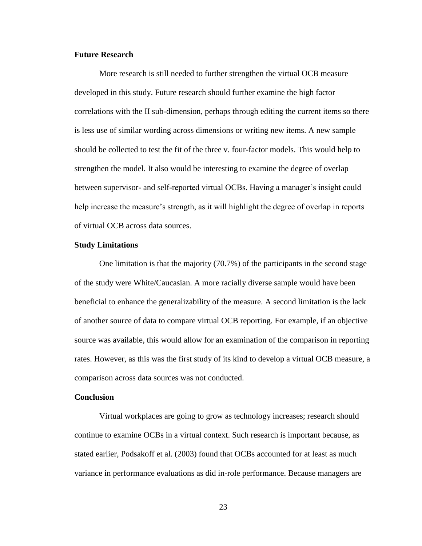#### **Future Research**

More research is still needed to further strengthen the virtual OCB measure developed in this study. Future research should further examine the high factor correlations with the II sub-dimension, perhaps through editing the current items so there is less use of similar wording across dimensions or writing new items. A new sample should be collected to test the fit of the three v. four-factor models. This would help to strengthen the model. It also would be interesting to examine the degree of overlap between supervisor- and self-reported virtual OCBs. Having a manager's insight could help increase the measure's strength, as it will highlight the degree of overlap in reports of virtual OCB across data sources.

#### **Study Limitations**

One limitation is that the majority (70.7%) of the participants in the second stage of the study were White/Caucasian. A more racially diverse sample would have been beneficial to enhance the generalizability of the measure. A second limitation is the lack of another source of data to compare virtual OCB reporting. For example, if an objective source was available, this would allow for an examination of the comparison in reporting rates. However, as this was the first study of its kind to develop a virtual OCB measure, a comparison across data sources was not conducted.

#### **Conclusion**

Virtual workplaces are going to grow as technology increases; research should continue to examine OCBs in a virtual context. Such research is important because, as stated earlier, Podsakoff et al. (2003) found that OCBs accounted for at least as much variance in performance evaluations as did in-role performance. Because managers are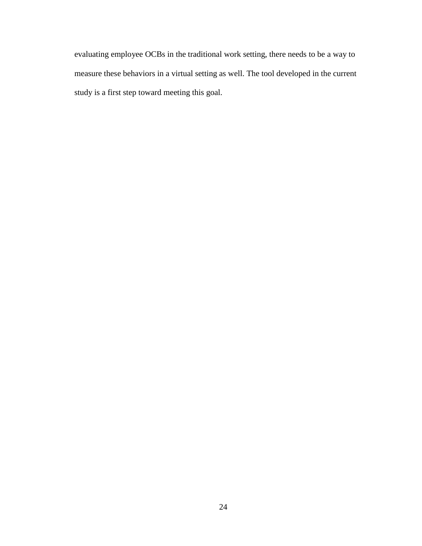evaluating employee OCBs in the traditional work setting, there needs to be a way to measure these behaviors in a virtual setting as well. The tool developed in the current study is a first step toward meeting this goal.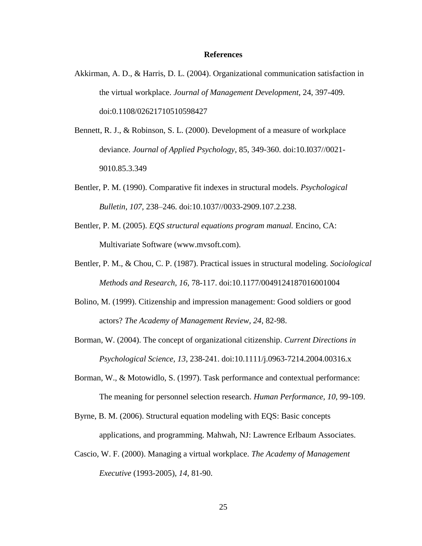#### **References**

- Akkirman, A. D., & Harris, D. L. (2004). Organizational communication satisfaction in the virtual workplace. *Journal of Management Development,* 24, 397-409. doi:0.1108/02621710510598427
- Bennett, R. J., & Robinson, S. L. (2000). Development of a measure of workplace deviance. *Journal of Applied Psychology*, 85, 349-360. doi:10.I037//0021- 9010.85.3.349
- Bentler, P. M. (1990). Comparative fit indexes in structural models. *Psychological Bulletin, 107,* 238–246. doi:10.1037//0033-2909.107.2.238.
- Bentler, P. M. (2005). *EQS structural equations program manual.* Encino, CA: Multivariate Software (www.mvsoft.com).
- Bentler, P. M., & Chou, C. P. (1987). Practical issues in structural modeling. *Sociological Methods and Research, 16,* 78-117. doi:10.1177/0049124187016001004
- Bolino, M. (1999). Citizenship and impression management: Good soldiers or good actors? *The Academy of Management Review, 24*, 82-98.
- Borman, W. (2004). The concept of organizational citizenship. *Current Directions in Psychological Science, 13*, 238-241. doi:10.1111/j.0963-7214.2004.00316.x
- Borman, W., & Motowidlo, S. (1997). Task performance and contextual performance: The meaning for personnel selection research. *Human Performance, 10*, 99-109.
- Byrne, B. M. (2006). Structural equation modeling with EQS: Basic concepts applications, and programming. Mahwah, NJ: Lawrence Erlbaum Associates.
- Cascio, W. F. (2000). Managing a virtual workplace. *The Academy of Management Executive* (1993-2005), *14*, 81-90.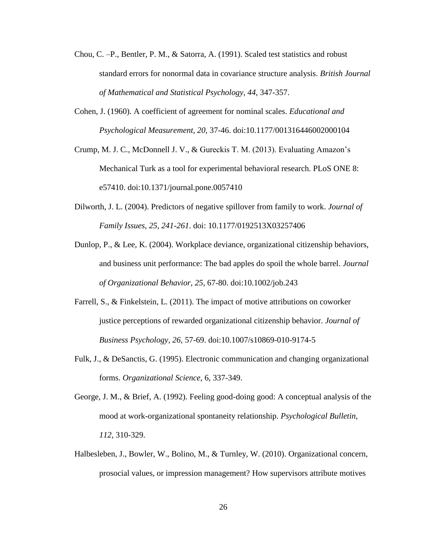- Chou, C. –P., Bentler, P. M., & Satorra, A. (1991). Scaled test statistics and robust standard errors for nonormal data in covariance structure analysis. *British Journal of Mathematical and Statistical Psychology, 44,* 347-357.
- Cohen, J. (1960). A coefficient of agreement for nominal scales. *Educational and Psychological Measurement, 20,* 37-46. doi:10.1177/001316446002000104
- Crump, M. J. C., McDonnell J. V., & Gureckis T. M. (2013). Evaluating Amazon's Mechanical Turk as a tool for experimental behavioral research. PLoS ONE 8: e57410. doi:10.1371/journal.pone.0057410
- Dilworth, J. L. (2004). Predictors of negative spillover from family to work. *Journal of Family Issues, 25, 241-261*. doi: 10.1177/0192513X03257406
- Dunlop, P., & Lee, K. (2004). Workplace deviance, organizational citizenship behaviors, and business unit performance: The bad apples do spoil the whole barrel. *Journal of Organizational Behavior, 25*, 67-80. doi:10.1002/job.243
- Farrell, S., & Finkelstein, L. (2011). The impact of motive attributions on coworker justice perceptions of rewarded organizational citizenship behavior. *Journal of Business Psychology, 26*, 57-69. doi:10.1007/s10869-010-9174-5
- Fulk, J., & DeSanctis, G. (1995). Electronic communication and changing organizational forms. *Organizational Science,* 6, 337-349.
- George, J. M., & Brief, A. (1992). Feeling good-doing good: A conceptual analysis of the mood at work-organizational spontaneity relationship. *Psychological Bulletin*, *112,* 310-329.
- Halbesleben, J., Bowler, W., Bolino, M., & Turnley, W. (2010). Organizational concern, prosocial values, or impression management? How supervisors attribute motives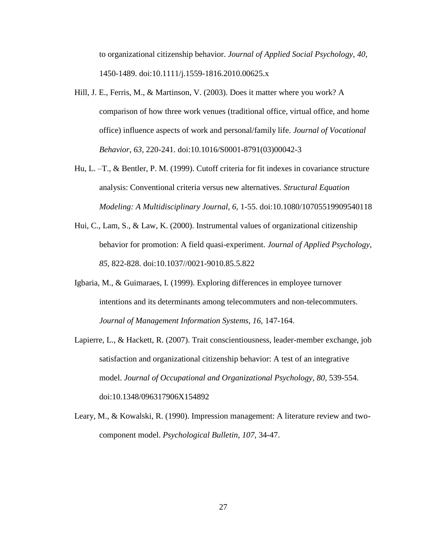to organizational citizenship behavior. *Journal of Applied Social Psychology, 40*, 1450-1489. doi:10.1111/j.1559-1816.2010.00625.x

- Hill, J. E., Ferris, M., & Martinson, V. (2003). Does it matter where you work? A comparison of how three work venues (traditional office, virtual office, and home office) influence aspects of work and personal/family life. *Journal of Vocational Behavior, 63,* 220-241. doi:10.1016/S0001-8791(03)00042-3
- Hu, L. –T., & Bentler, P. M. (1999). Cutoff criteria for fit indexes in covariance structure analysis: Conventional criteria versus new alternatives. *Structural Equation Modeling: A Multidisciplinary Journal, 6,* 1-55. doi:10.1080/10705519909540118
- Hui, C., Lam, S., & Law, K. (2000). Instrumental values of organizational citizenship behavior for promotion: A field quasi-experiment. *Journal of Applied Psychology, 85*, 822-828. doi:10.1037//0021-9010.85.5.822
- Igbaria, M., & Guimaraes, I. (1999). Exploring differences in employee turnover intentions and its determinants among telecommuters and non-telecommuters. *Journal of Management Information Systems*, *16,* 147-164.
- Lapierre, L., & Hackett, R. (2007). Trait conscientiousness, leader-member exchange, job satisfaction and organizational citizenship behavior: A test of an integrative model. *Journal of Occupational and Organizational Psychology, 80*, 539-554. doi:10.1348/096317906X154892
- Leary, M., & Kowalski, R. (1990). Impression management: A literature review and twocomponent model. *Psychological Bulletin, 107*, 34-47.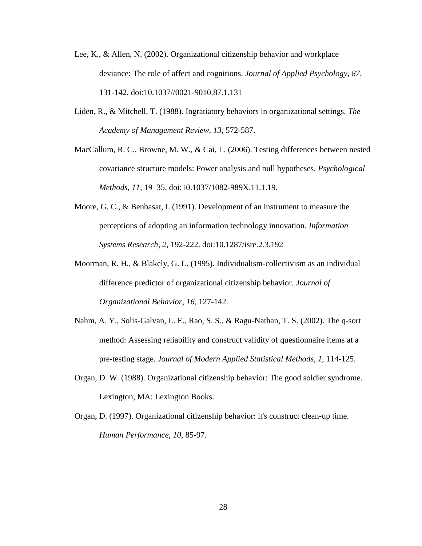- Lee, K., & Allen, N. (2002). Organizational citizenship behavior and workplace deviance: The role of affect and cognitions. *Journal of Applied Psychology, 87*, 131-142. doi:10.1037//0021-9010.87.1.131
- Liden, R., & Mitchell, T. (1988). Ingratiatory behaviors in organizational settings. *The Academy of Management Review, 13*, 572-587.
- MacCallum, R. C., Browne, M. W., & Cai, L. (2006). Testing differences between nested covariance structure models: Power analysis and null hypotheses. *Psychological Methods, 11,* 19–35. doi:10.1037/1082-989X.11.1.19.
- Moore, G. C., & Benbasat, I. (1991). Development of an instrument to measure the perceptions of adopting an information technology innovation. *Information Systems Research, 2,* 192-222. doi:10.1287/isre.2.3.192
- Moorman, R. H., & Blakely, G. L. (1995). Individualism-collectivism as an individual difference predictor of organizational citizenship behavior. *Journal of Organizational Behavior*, *16*, 127-142.
- Nahm, A. Y., Solis-Galvan, L. E., Rao, S. S., & Ragu-Nathan, T. S. (2002). The q-sort method: Assessing reliability and construct validity of questionnaire items at a pre-testing stage. *Journal of Modern Applied Statistical Methods*, *1*, 114-125.
- Organ, D. W. (1988). Organizational citizenship behavior: The good soldier syndrome. Lexington, MA: Lexington Books.
- Organ, D. (1997). Organizational citizenship behavior: it's construct clean-up time. *Human Performance, 10*, 85-97.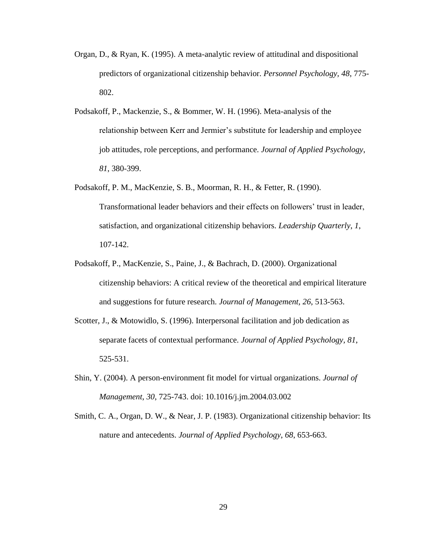- Organ, D., & Ryan, K. (1995). A meta-analytic review of attitudinal and dispositional predictors of organizational citizenship behavior. *Personnel Psychology, 48*, 775- 802.
- Podsakoff, P., Mackenzie, S., & Bommer, W. H. (1996). Meta-analysis of the relationship between Kerr and Jermier's substitute for leadership and employee job attitudes, role perceptions, and performance. *Journal of Applied Psychology*, *81*, 380-399.
- Podsakoff, P. M., MacKenzie, S. B., Moorman, R. H., & Fetter, R. (1990). Transformational leader behaviors and their effects on followers' trust in leader, satisfaction, and organizational citizenship behaviors. *Leadership Quarterly*, *1*, 107-142.
- Podsakoff, P., MacKenzie, S., Paine, J., & Bachrach, D. (2000). Organizational citizenship behaviors: A critical review of the theoretical and empirical literature and suggestions for future research. *Journal of Management, 26*, 513-563.
- Scotter, J., & Motowidlo, S. (1996). Interpersonal facilitation and job dedication as separate facets of contextual performance. *Journal of Applied Psychology, 81*, 525-531.
- Shin, Y. (2004). A person-environment fit model for virtual organizations. *Journal of Management*, *30*, 725-743. doi: 10.1016/j.jm.2004.03.002
- Smith, C. A., Organ, D. W., & Near, J. P. (1983). Organizational citizenship behavior: Its nature and antecedents. *Journal of Applied Psychology*, *68*, 653-663.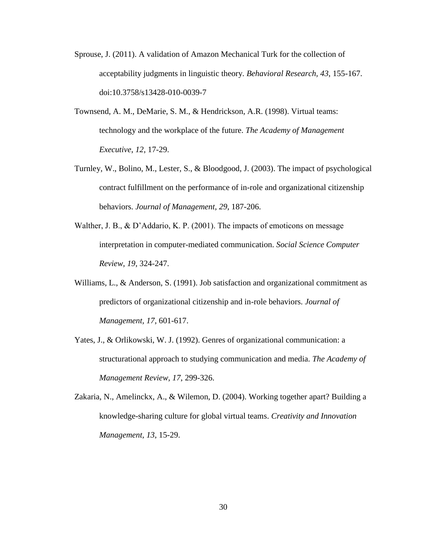- Sprouse, J. (2011). A validation of Amazon Mechanical Turk for the collection of acceptability judgments in linguistic theory. *Behavioral Research, 43*, 155-167. doi:10.3758/s13428-010-0039-7
- Townsend, A. M., DeMarie, S. M., & Hendrickson, A.R. (1998). Virtual teams: technology and the workplace of the future. *The Academy of Management Executive*, *12*, 17-29.
- Turnley, W., Bolino, M., Lester, S., & Bloodgood, J. (2003). The impact of psychological contract fulfillment on the performance of in-role and organizational citizenship behaviors. *Journal of Management, 29*, 187-206.
- Walther, J. B., & D'Addario, K. P. (2001). The impacts of emoticons on message interpretation in computer-mediated communication. *Social Science Computer Review, 19*, 324-247.
- Williams, L., & Anderson, S. (1991). Job satisfaction and organizational commitment as predictors of organizational citizenship and in-role behaviors. *Journal of Management, 17*, 601-617.
- Yates, J., & Orlikowski, W. J. (1992). Genres of organizational communication: a structurational approach to studying communication and media. *The Academy of Management Review, 17*, 299-326.
- Zakaria, N., Amelinckx, A., & Wilemon, D. (2004). Working together apart? Building a knowledge-sharing culture for global virtual teams. *Creativity and Innovation Management, 13*, 15-29.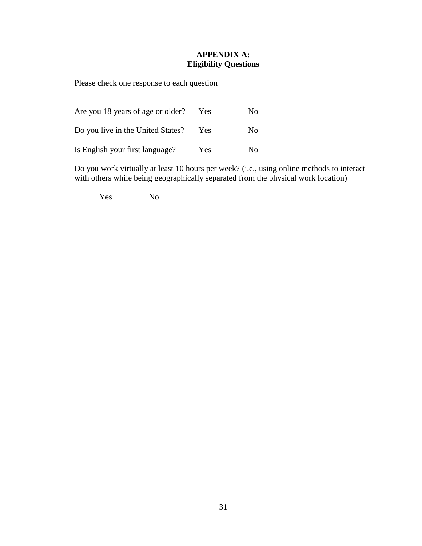# **APPENDIX A: Eligibility Questions**

Please check one response to each question

| Are you 18 years of age or older? | Yes.       | No. |
|-----------------------------------|------------|-----|
| Do you live in the United States? | Yes        | No. |
| Is English your first language?   | <b>Yes</b> | No. |

Do you work virtually at least 10 hours per week? (i.e., using online methods to interact with others while being geographically separated from the physical work location)

Yes No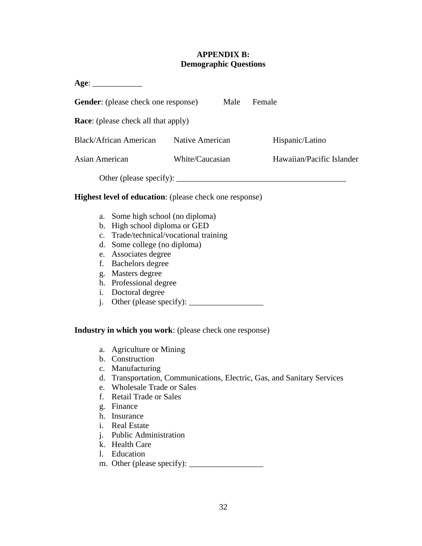#### **APPENDIX B: Demographic Questions**

| Age:                                       |                 |      |                           |
|--------------------------------------------|-----------------|------|---------------------------|
| <b>Gender:</b> (please check one response) |                 | Male | Female                    |
| <b>Race:</b> (please check all that apply) |                 |      |                           |
| <b>Black/African American</b>              | Native American |      | Hispanic/Latino           |
| Asian American                             | White/Caucasian |      | Hawaiian/Pacific Islander |
| Other (please specify):                    |                 |      |                           |

## **Highest level of education**: (please check one response)

- a. Some high school (no diploma)
- b. High school diploma or GED
- c. Trade/technical/vocational training
- d. Some college (no diploma)
- e. Associates degree
- f. Bachelors degree
- g. Masters degree
- h. Professional degree
- i. Doctoral degree
- j. Other (please specify):  $\frac{1}{\sqrt{2\pi}}$

#### **Industry in which you work**: (please check one response)

- a. Agriculture or Mining
- b. Construction
- c. Manufacturing
- d. Transportation, Communications, Electric, Gas, and Sanitary Services
- e. Wholesale Trade or Sales
- f. Retail Trade or Sales
- g. Finance
- h. Insurance
- i. Real Estate
- j. Public Administration
- k. Health Care
- l. Education
- m. Other (please specify): \_\_\_\_\_\_\_\_\_\_\_\_\_\_\_\_\_\_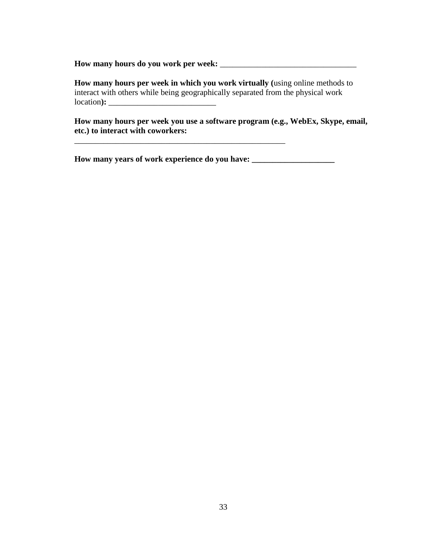**How many hours do you work per week:** \_\_\_\_\_\_\_\_\_\_\_\_\_\_\_\_\_\_\_\_\_\_\_\_\_\_\_\_\_\_\_\_\_

**How many hours per week in which you work virtually (**using online methods to interact with others while being geographically separated from the physical work location**):** \_\_\_\_\_\_\_\_\_\_\_\_\_\_\_\_\_\_\_\_\_\_\_\_\_\_

**How many hours per week you use a software program (e.g., WebEx, Skype, email, etc.) to interact with coworkers:**

\_\_\_\_\_\_\_\_\_\_\_\_\_\_\_\_\_\_\_\_\_\_\_\_\_\_\_\_\_\_\_\_\_\_\_\_\_\_\_\_\_\_\_\_\_\_\_\_\_\_\_

**How many years of work experience do you have: \_\_\_\_\_\_\_\_\_\_\_\_\_\_\_\_\_\_\_\_**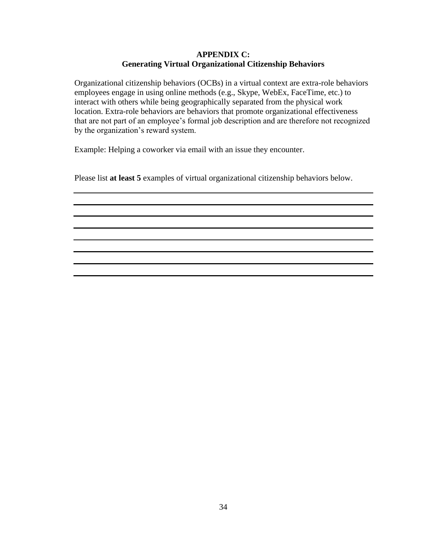#### **APPENDIX C: Generating Virtual Organizational Citizenship Behaviors**

Organizational citizenship behaviors (OCBs) in a virtual context are extra-role behaviors employees engage in using online methods (e.g., Skype, WebEx, FaceTime, etc.) to interact with others while being geographically separated from the physical work location. Extra-role behaviors are behaviors that promote organizational effectiveness that are not part of an employee's formal job description and are therefore not recognized by the organization's reward system.

Example: Helping a coworker via email with an issue they encounter.

Please list **at least 5** examples of virtual organizational citizenship behaviors below.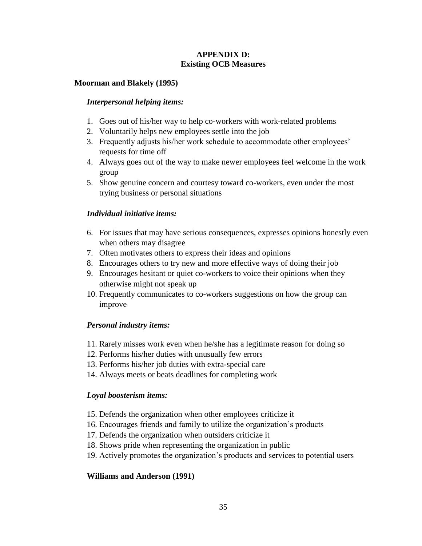#### **APPENDIX D: Existing OCB Measures**

#### **Moorman and Blakely (1995)**

#### *Interpersonal helping items:*

- 1. Goes out of his/her way to help co-workers with work-related problems
- 2. Voluntarily helps new employees settle into the job
- 3. Frequently adjusts his/her work schedule to accommodate other employees' requests for time off
- 4. Always goes out of the way to make newer employees feel welcome in the work group
- 5. Show genuine concern and courtesy toward co-workers, even under the most trying business or personal situations

## *Individual initiative items:*

- 6. For issues that may have serious consequences, expresses opinions honestly even when others may disagree
- 7. Often motivates others to express their ideas and opinions
- 8. Encourages others to try new and more effective ways of doing their job
- 9. Encourages hesitant or quiet co-workers to voice their opinions when they otherwise might not speak up
- 10. Frequently communicates to co-workers suggestions on how the group can improve

## *Personal industry items:*

- 11. Rarely misses work even when he/she has a legitimate reason for doing so
- 12. Performs his/her duties with unusually few errors
- 13. Performs his/her job duties with extra-special care
- 14. Always meets or beats deadlines for completing work

## *Loyal boosterism items:*

- 15. Defends the organization when other employees criticize it
- 16. Encourages friends and family to utilize the organization's products
- 17. Defends the organization when outsiders criticize it
- 18. Shows pride when representing the organization in public
- 19. Actively promotes the organization's products and services to potential users

## **Williams and Anderson (1991)**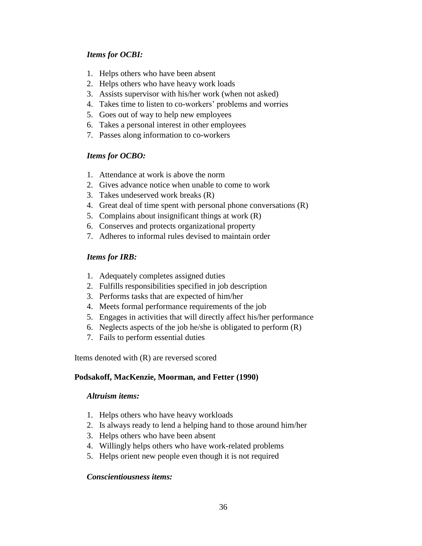## *Items for OCBI:*

- 1. Helps others who have been absent
- 2. Helps others who have heavy work loads
- 3. Assists supervisor with his/her work (when not asked)
- 4. Takes time to listen to co-workers' problems and worries
- 5. Goes out of way to help new employees
- 6. Takes a personal interest in other employees
- 7. Passes along information to co-workers

## *Items for OCBO:*

- 1. Attendance at work is above the norm
- 2. Gives advance notice when unable to come to work
- 3. Takes undeserved work breaks (R)
- 4. Great deal of time spent with personal phone conversations (R)
- 5. Complains about insignificant things at work (R)
- 6. Conserves and protects organizational property
- 7. Adheres to informal rules devised to maintain order

## *Items for IRB:*

- 1. Adequately completes assigned duties
- 2. Fulfills responsibilities specified in job description
- 3. Performs tasks that are expected of him/her
- 4. Meets formal performance requirements of the job
- 5. Engages in activities that will directly affect his/her performance
- 6. Neglects aspects of the job he/she is obligated to perform (R)
- 7. Fails to perform essential duties

Items denoted with (R) are reversed scored

#### **Podsakoff, MacKenzie, Moorman, and Fetter (1990)**

#### *Altruism items:*

- 1. Helps others who have heavy workloads
- 2. Is always ready to lend a helping hand to those around him/her
- 3. Helps others who have been absent
- 4. Willingly helps others who have work-related problems
- 5. Helps orient new people even though it is not required

#### *Conscientiousness items:*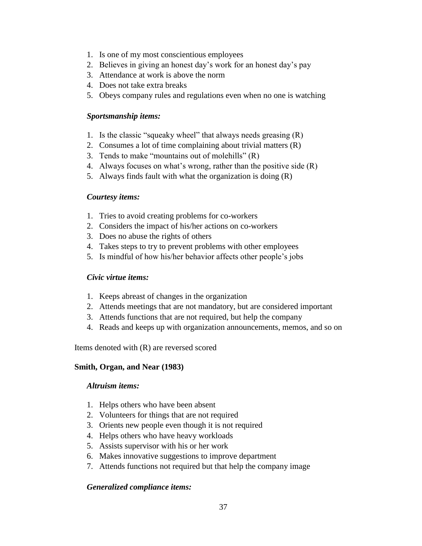- 1. Is one of my most conscientious employees
- 2. Believes in giving an honest day's work for an honest day's pay
- 3. Attendance at work is above the norm
- 4. Does not take extra breaks
- 5. Obeys company rules and regulations even when no one is watching

#### *Sportsmanship items:*

- 1. Is the classic "squeaky wheel" that always needs greasing (R)
- 2. Consumes a lot of time complaining about trivial matters (R)
- 3. Tends to make "mountains out of molehills" (R)
- 4. Always focuses on what's wrong, rather than the positive side (R)
- 5. Always finds fault with what the organization is doing (R)

## *Courtesy items:*

- 1. Tries to avoid creating problems for co-workers
- 2. Considers the impact of his/her actions on co-workers
- 3. Does no abuse the rights of others
- 4. Takes steps to try to prevent problems with other employees
- 5. Is mindful of how his/her behavior affects other people's jobs

#### *Civic virtue items:*

- 1. Keeps abreast of changes in the organization
- 2. Attends meetings that are not mandatory, but are considered important
- 3. Attends functions that are not required, but help the company
- 4. Reads and keeps up with organization announcements, memos, and so on

Items denoted with (R) are reversed scored

#### **Smith, Organ, and Near (1983)**

#### *Altruism items:*

- 1. Helps others who have been absent
- 2. Volunteers for things that are not required
- 3. Orients new people even though it is not required
- 4. Helps others who have heavy workloads
- 5. Assists supervisor with his or her work
- 6. Makes innovative suggestions to improve department
- 7. Attends functions not required but that help the company image

## *Generalized compliance items:*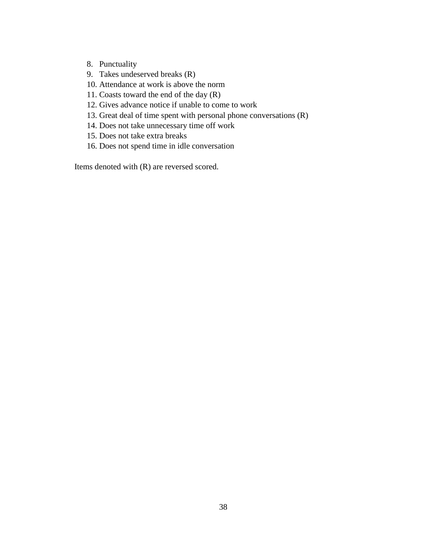- 8. Punctuality
- 9. Takes undeserved breaks (R)
- 10. Attendance at work is above the norm
- 11. Coasts toward the end of the day (R)
- 12. Gives advance notice if unable to come to work
- 13. Great deal of time spent with personal phone conversations (R)
- 14. Does not take unnecessary time off work
- 15. Does not take extra breaks
- 16. Does not spend time in idle conversation

Items denoted with (R) are reversed scored.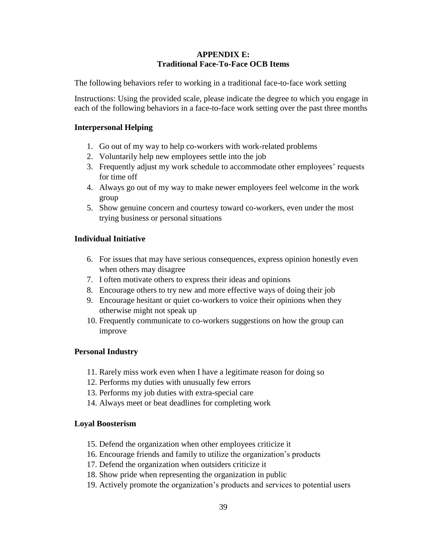#### **APPENDIX E: Traditional Face-To-Face OCB Items**

The following behaviors refer to working in a traditional face-to-face work setting

Instructions: Using the provided scale, please indicate the degree to which you engage in each of the following behaviors in a face-to-face work setting over the past three months

## **Interpersonal Helping**

- 1. Go out of my way to help co-workers with work-related problems
- 2. Voluntarily help new employees settle into the job
- 3. Frequently adjust my work schedule to accommodate other employees' requests for time off
- 4. Always go out of my way to make newer employees feel welcome in the work group
- 5. Show genuine concern and courtesy toward co-workers, even under the most trying business or personal situations

# **Individual Initiative**

- 6. For issues that may have serious consequences, express opinion honestly even when others may disagree
- 7. I often motivate others to express their ideas and opinions
- 8. Encourage others to try new and more effective ways of doing their job
- 9. Encourage hesitant or quiet co-workers to voice their opinions when they otherwise might not speak up
- 10. Frequently communicate to co-workers suggestions on how the group can improve

## **Personal Industry**

- 11. Rarely miss work even when I have a legitimate reason for doing so
- 12. Performs my duties with unusually few errors
- 13. Performs my job duties with extra-special care
- 14. Always meet or beat deadlines for completing work

## **Loyal Boosterism**

- 15. Defend the organization when other employees criticize it
- 16. Encourage friends and family to utilize the organization's products
- 17. Defend the organization when outsiders criticize it
- 18. Show pride when representing the organization in public
- 19. Actively promote the organization's products and services to potential users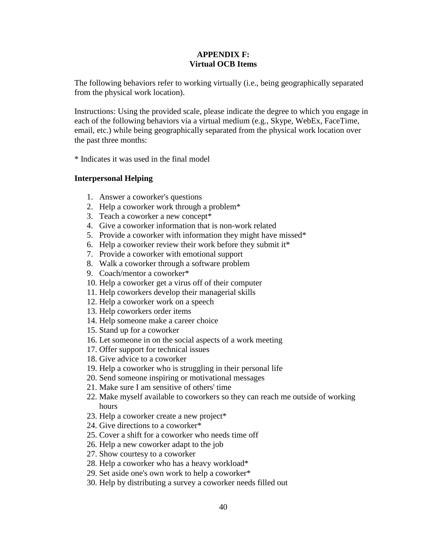#### **APPENDIX F: Virtual OCB Items**

The following behaviors refer to working virtually (i.e., being geographically separated from the physical work location).

Instructions: Using the provided scale, please indicate the degree to which you engage in each of the following behaviors via a virtual medium (e.g., Skype, WebEx, FaceTime, email, etc.) while being geographically separated from the physical work location over the past three months:

\* Indicates it was used in the final model

#### **Interpersonal Helping**

- 1. Answer a coworker's questions
- 2. Help a coworker work through a problem\*
- 3. Teach a coworker a new concept\*
- 4. Give a coworker information that is non-work related
- 5. Provide a coworker with information they might have missed\*
- 6. Help a coworker review their work before they submit it\*
- 7. Provide a coworker with emotional support
- 8. Walk a coworker through a software problem
- 9. Coach/mentor a coworker\*
- 10. Help a coworker get a virus off of their computer
- 11. Help coworkers develop their managerial skills
- 12. Help a coworker work on a speech
- 13. Help coworkers order items
- 14. Help someone make a career choice
- 15. Stand up for a coworker
- 16. Let someone in on the social aspects of a work meeting
- 17. Offer support for technical issues
- 18. Give advice to a coworker
- 19. Help a coworker who is struggling in their personal life
- 20. Send someone inspiring or motivational messages
- 21. Make sure I am sensitive of others' time
- 22. Make myself available to coworkers so they can reach me outside of working hours
- 23. Help a coworker create a new project\*
- 24. Give directions to a coworker\*
- 25. Cover a shift for a coworker who needs time off
- 26. Help a new coworker adapt to the job
- 27. Show courtesy to a coworker
- 28. Help a coworker who has a heavy workload\*
- 29. Set aside one's own work to help a coworker\*
- 30. Help by distributing a survey a coworker needs filled out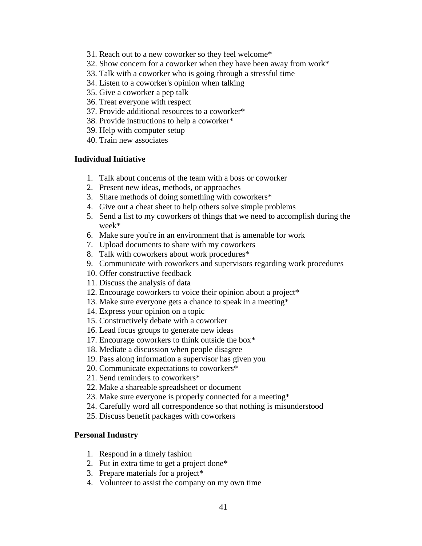- 31. Reach out to a new coworker so they feel welcome\*
- 32. Show concern for a coworker when they have been away from work\*
- 33. Talk with a coworker who is going through a stressful time
- 34. Listen to a coworker's opinion when talking
- 35. Give a coworker a pep talk
- 36. Treat everyone with respect
- 37. Provide additional resources to a coworker\*
- 38. Provide instructions to help a coworker\*
- 39. Help with computer setup
- 40. Train new associates

#### **Individual Initiative**

- 1. Talk about concerns of the team with a boss or coworker
- 2. Present new ideas, methods, or approaches
- 3. Share methods of doing something with coworkers\*
- 4. Give out a cheat sheet to help others solve simple problems
- 5. Send a list to my coworkers of things that we need to accomplish during the week\*
- 6. Make sure you're in an environment that is amenable for work
- 7. Upload documents to share with my coworkers
- 8. Talk with coworkers about work procedures\*
- 9. Communicate with coworkers and supervisors regarding work procedures
- 10. Offer constructive feedback
- 11. Discuss the analysis of data
- 12. Encourage coworkers to voice their opinion about a project\*
- 13. Make sure everyone gets a chance to speak in a meeting\*
- 14. Express your opinion on a topic
- 15. Constructively debate with a coworker
- 16. Lead focus groups to generate new ideas
- 17. Encourage coworkers to think outside the box\*
- 18. Mediate a discussion when people disagree
- 19. Pass along information a supervisor has given you
- 20. Communicate expectations to coworkers\*
- 21. Send reminders to coworkers\*
- 22. Make a shareable spreadsheet or document
- 23. Make sure everyone is properly connected for a meeting\*
- 24. Carefully word all correspondence so that nothing is misunderstood
- 25. Discuss benefit packages with coworkers

#### **Personal Industry**

- 1. Respond in a timely fashion
- 2. Put in extra time to get a project done\*
- 3. Prepare materials for a project\*
- 4. Volunteer to assist the company on my own time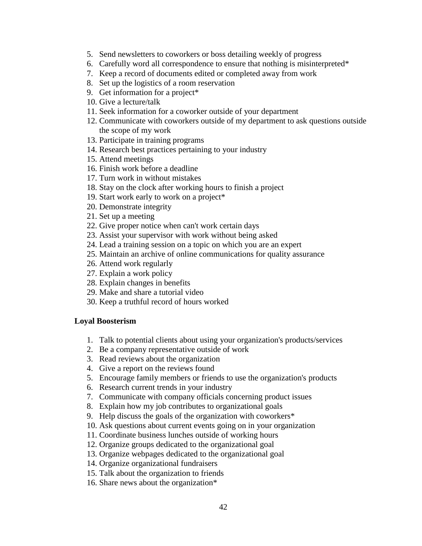- 5. Send newsletters to coworkers or boss detailing weekly of progress
- 6. Carefully word all correspondence to ensure that nothing is misinterpreted\*
- 7. Keep a record of documents edited or completed away from work
- 8. Set up the logistics of a room reservation
- 9. Get information for a project\*
- 10. Give a lecture/talk
- 11. Seek information for a coworker outside of your department
- 12. Communicate with coworkers outside of my department to ask questions outside the scope of my work
- 13. Participate in training programs
- 14. Research best practices pertaining to your industry
- 15. Attend meetings
- 16. Finish work before a deadline
- 17. Turn work in without mistakes
- 18. Stay on the clock after working hours to finish a project
- 19. Start work early to work on a project\*
- 20. Demonstrate integrity
- 21. Set up a meeting
- 22. Give proper notice when can't work certain days
- 23. Assist your supervisor with work without being asked
- 24. Lead a training session on a topic on which you are an expert
- 25. Maintain an archive of online communications for quality assurance
- 26. Attend work regularly
- 27. Explain a work policy
- 28. Explain changes in benefits
- 29. Make and share a tutorial video
- 30. Keep a truthful record of hours worked

#### **Loyal Boosterism**

- 1. Talk to potential clients about using your organization's products/services
- 2. Be a company representative outside of work
- 3. Read reviews about the organization
- 4. Give a report on the reviews found
- 5. Encourage family members or friends to use the organization's products
- 6. Research current trends in your industry
- 7. Communicate with company officials concerning product issues
- 8. Explain how my job contributes to organizational goals
- 9. Help discuss the goals of the organization with coworkers\*
- 10. Ask questions about current events going on in your organization
- 11. Coordinate business lunches outside of working hours
- 12. Organize groups dedicated to the organizational goal
- 13. Organize webpages dedicated to the organizational goal
- 14. Organize organizational fundraisers
- 15. Talk about the organization to friends
- 16. Share news about the organization\*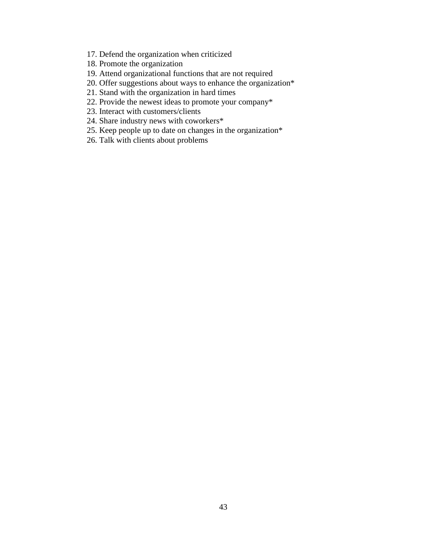- 17. Defend the organization when criticized
- 18. Promote the organization
- 19. Attend organizational functions that are not required
- 20. Offer suggestions about ways to enhance the organization\*
- 21. Stand with the organization in hard times
- 22. Provide the newest ideas to promote your company\*
- 23. Interact with customers/clients
- 24. Share industry news with coworkers\*
- 25. Keep people up to date on changes in the organization\*
- 26. Talk with clients about problems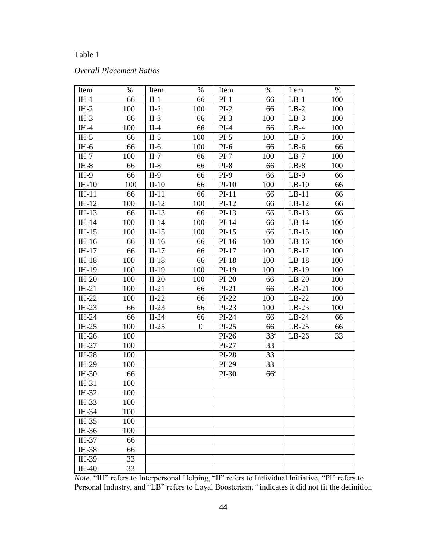## *Overall Placement Ratios*

| Item    | $\%$ | Item    | $\%$             | Item    | $\%$            | Item    | $\%$ |
|---------|------|---------|------------------|---------|-----------------|---------|------|
| $IH-1$  | 66   | $II-1$  | 66               | $PI-1$  | 66              | $LB-1$  | 100  |
| $IH-2$  | 100  | $II-2$  | 100              | $PI-2$  | 66              | $LB-2$  | 100  |
| $IH-3$  | 66   | $II-3$  | 66               | $PI-3$  | 100             | $LB-3$  | 100  |
| $IH-4$  | 100  | $II-4$  | 66               | $PI-4$  | 66              | $LB-4$  | 100  |
| $IH-5$  | 66   | $II-5$  | 100              | $PI-5$  | 100             | $LB-5$  | 100  |
| $IH-6$  | 66   | $II-6$  | 100              | $PI-6$  | 66              | $LB-6$  | 66   |
| $IH-7$  | 100  | $II-7$  | 66               | $PI-7$  | 100             | $LB-7$  | 100  |
| $IH-8$  | 66   | $II-8$  | 66               | $PI-8$  | 66              | $LB-8$  | 100  |
| $IH-9$  | 66   | $II-9$  | 66               | $PI-9$  | 66              | $LB-9$  | 66   |
| $IH-10$ | 100  | $II-10$ | 66               | $PI-10$ | 100             | $LB-10$ | 66   |
| $IH-11$ | 66   | $II-11$ | 66               | $PI-11$ | 66              | $LB-11$ | 66   |
| $IH-12$ | 100  | $II-12$ | 100              | $PI-12$ | 66              | $LB-12$ | 66   |
| $IH-13$ | 66   | $II-13$ | 66               | $PI-13$ | 66              | $LB-13$ | 66   |
| $IH-14$ | 100  | $II-14$ | 100              | $PI-14$ | 66              | $LB-14$ | 100  |
| $IH-15$ | 100  | $II-15$ | 100              | $PI-15$ | 66              | $LB-15$ | 100  |
| $IH-16$ | 66   | $II-16$ | 66               | $PI-16$ | 100             | $LB-16$ | 100  |
| $IH-17$ | 66   | $II-17$ | 66               | $PI-17$ | 100             | $LB-17$ | 100  |
| $IH-18$ | 100  | $II-18$ | 66               | $PI-18$ | 100             | $LB-18$ | 100  |
| IH-19   | 100  | $II-19$ | 100              | $PI-19$ | 100             | $LB-19$ | 100  |
| $IH-20$ | 100  | $II-20$ | 100              | $PI-20$ | 66              | $LB-20$ | 100  |
| $IH-21$ | 100  | $II-21$ | 66               | $PI-21$ | 66              | $LB-21$ | 100  |
| $IH-22$ | 100  | $II-22$ | 66               | $PI-22$ | 100             | $LB-22$ | 100  |
| $IH-23$ | 66   | $II-23$ | 66               | $PI-23$ | 100             | $LB-23$ | 100  |
| IH-24   | 66   | $II-24$ | 66               | $PI-24$ | 66              | $LB-24$ | 66   |
| $IH-25$ | 100  | $II-25$ | $\boldsymbol{0}$ | $PI-25$ | 66              | $LB-25$ | 66   |
| $IH-26$ | 100  |         |                  | $PI-26$ | 33 <sup>a</sup> | $LB-26$ | 33   |
| $IH-27$ | 100  |         |                  | $PI-27$ | 33              |         |      |
| IH-28   | 100  |         |                  | $PI-28$ | 33              |         |      |
| IH-29   | 100  |         |                  | $PI-29$ | 33              |         |      |
| IH-30   | 66   |         |                  | $PI-30$ | $66^{\circ}$    |         |      |
| IH-31   | 100  |         |                  |         |                 |         |      |
| IH-32   | 100  |         |                  |         |                 |         |      |
| IH-33   | 100  |         |                  |         |                 |         |      |
| IH-34   | 100  |         |                  |         |                 |         |      |
| IH-35   | 100  |         |                  |         |                 |         |      |
| IH-36   | 100  |         |                  |         |                 |         |      |
| IH-37   | 66   |         |                  |         |                 |         |      |
| IH-38   | 66   |         |                  |         |                 |         |      |
| IH-39   | 33   |         |                  |         |                 |         |      |
| IH-40   | 33   |         |                  |         |                 |         |      |

*Note*. "IH" refers to Interpersonal Helping, "II" refers to Individual Initiative, "PI" refers to Personal Industry, and "LB" refers to Loyal Boosterism. <sup>a</sup> indicates it did not fit the definition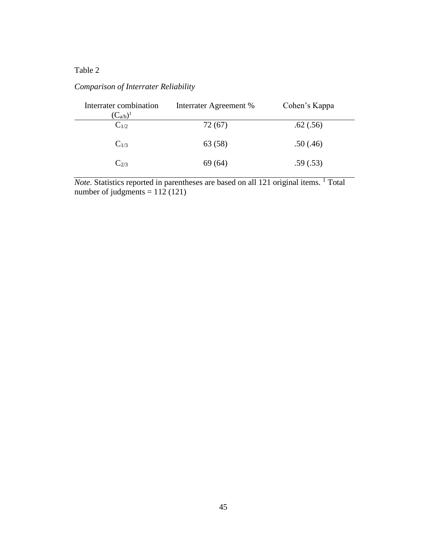# *Comparison of Interrater Reliability*

| Interrater combination<br>$(C_{a/b})^1$ | Interrater Agreement % | Cohen's Kappa |
|-----------------------------------------|------------------------|---------------|
| $C_{1/2}$                               | 72 (67)                | .62(.56)      |
| $C_{1/3}$                               | 63 (58)                | .50(.46)      |
| $C_{2/3}$                               | 69(64)                 | .59(.53)      |

*Note.* Statistics reported in parentheses are based on all 121 original items. <sup>1</sup> Total number of judgments  $= 112(121)$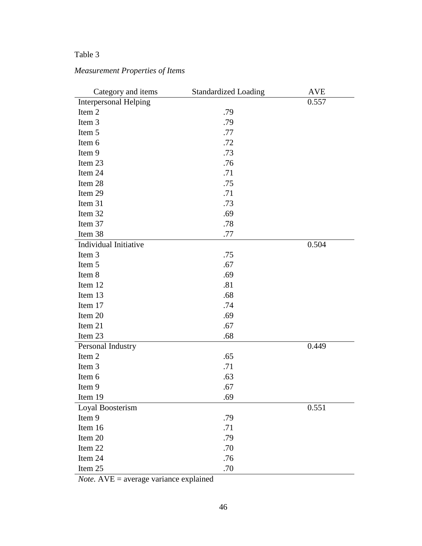# *Measurement Properties of Items*

| Category and items           | <b>Standardized Loading</b> | <b>AVE</b> |
|------------------------------|-----------------------------|------------|
| <b>Interpersonal Helping</b> |                             | 0.557      |
| Item 2                       | .79                         |            |
| Item 3                       | .79                         |            |
| Item 5                       | .77                         |            |
| Item 6                       | .72                         |            |
| Item 9                       | .73                         |            |
| Item 23                      | .76                         |            |
| Item 24                      | .71                         |            |
| Item 28                      | .75                         |            |
| Item 29                      | .71                         |            |
| Item 31                      | .73                         |            |
| Item 32                      | .69                         |            |
| Item 37                      | .78                         |            |
| Item 38                      | .77                         |            |
| Individual Initiative        |                             | 0.504      |
| Item 3                       | .75                         |            |
| Item 5                       | .67                         |            |
| Item 8                       | .69                         |            |
| Item 12                      | .81                         |            |
| Item 13                      | .68                         |            |
| Item 17                      | .74                         |            |
| Item 20                      | .69                         |            |
| Item 21                      | .67                         |            |
| Item 23                      | .68                         |            |
| Personal Industry            |                             | 0.449      |
| Item 2                       | .65                         |            |
| Item 3                       | .71                         |            |
| Item 6                       | .63                         |            |
| Item 9                       | .67                         |            |
| Item 19                      | .69                         |            |
| Loyal Boosterism             |                             | 0.551      |
| Item 9                       | .79                         |            |
| Item 16                      | .71                         |            |
| Item 20                      | .79                         |            |
| Item 22                      | .70                         |            |
| Item 24                      | .76                         |            |
| Item 25                      | .70                         |            |

*Note.* AVE = average variance explained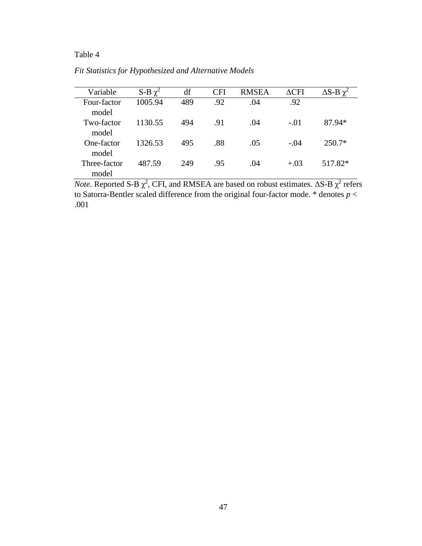| Variable              | S-B $\chi^2$ | df  | <b>CFI</b> | <b>RMSEA</b> | $\Delta$ CFI | $\Delta S$ -B $\gamma^2$ |
|-----------------------|--------------|-----|------------|--------------|--------------|--------------------------|
| Four-factor<br>model  | 1005.94      | 489 | .92        | .04          | .92          |                          |
| Two-factor<br>model   | 1130.55      | 494 | .91        | .04          | $-.01$       | 87.94*                   |
| One-factor<br>model   | 1326.53      | 495 | .88        | .05          | $-.04$       | $250.7*$                 |
| Three-factor<br>model | 487.59       | 249 | .95        | .04          | $+.03$       | 517.82*                  |

*Fit Statistics for Hypothesized and Alternative Models*

*Note.* Reported S-B  $\chi^2$ , CFI, and RMSEA are based on robust estimates.  $\Delta$ S-B  $\chi^2$  refers to Satorra-Bentler scaled difference from the original four-factor mode. \* denotes *p* < .001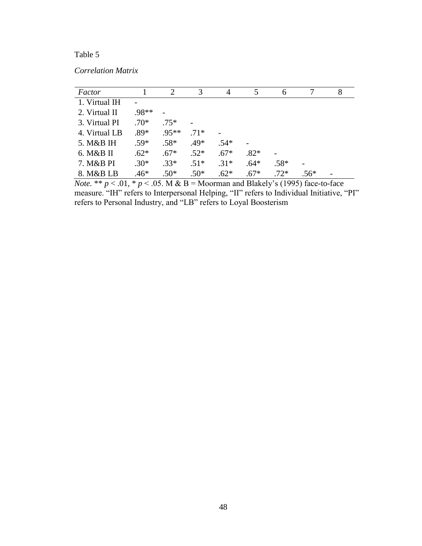*Correlation Matrix*

| Factor        |        | 2       | 3      | $\overline{4}$ | 5      | 6      |      | 8 |
|---------------|--------|---------|--------|----------------|--------|--------|------|---|
| 1. Virtual IH |        |         |        |                |        |        |      |   |
| 2. Virtual II | .98**  |         |        |                |        |        |      |   |
| 3. Virtual PI | $.70*$ | $.75*$  |        |                |        |        |      |   |
| 4. Virtual LB | $.89*$ | $.95**$ | $.71*$ |                |        |        |      |   |
| 5. M&B IH     | $.59*$ | $.58*$  | $.49*$ | $.54*$         |        |        |      |   |
| 6. M&B II     | $.62*$ | $.67*$  | $.52*$ | $.67*$         | $.82*$ |        |      |   |
| 7. M&B PI     | $.30*$ | $.33*$  | $.51*$ | $.31*$         | $.64*$ | $.58*$ |      |   |
| 8. M&B LB     | $.46*$ | $.50*$  | $.50*$ | $.62*$         | $.67*$ | $.72*$ | .56* |   |

*Note.* \*\*  $p < .01$ , \*  $p < .05$ . M & B = Moorman and Blakely's (1995) face-to-face measure. "IH" refers to Interpersonal Helping, "II" refers to Individual Initiative, "PI" refers to Personal Industry, and "LB" refers to Loyal Boosterism